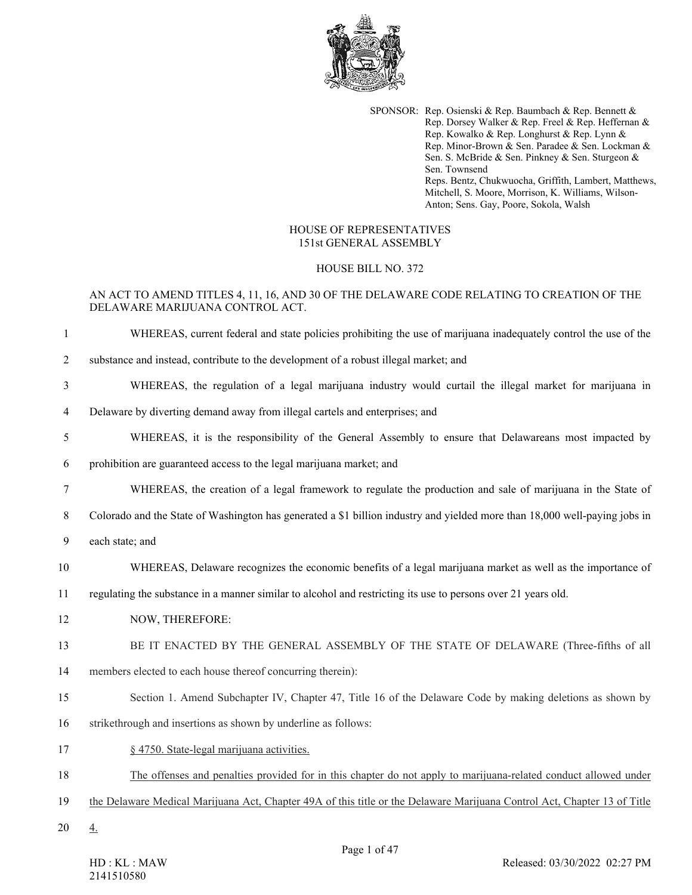

SPONSOR: Rep. Osienski & Rep. Baumbach & Rep. Bennett & Rep. Dorsey Walker & Rep. Freel & Rep. Heffernan & Rep. Kowalko & Rep. Longhurst & Rep. Lynn & Rep. Minor-Brown & Sen. Paradee & Sen. Lockman & Sen. S. McBride & Sen. Pinkney & Sen. Sturgeon & Sen. Townsend Reps. Bentz, Chukwuocha, Griffith, Lambert, Matthews, Mitchell, S. Moore, Morrison, K. Williams, Wilson-Anton; Sens. Gay, Poore, Sokola, Walsh

### HOUSE OF REPRESENTATIVES 151st GENERAL ASSEMBLY

#### HOUSE BILL NO. 372

## AN ACT TO AMEND TITLES 4, 11, 16, AND 30 OF THE DELAWARE CODE RELATING TO CREATION OF THE DELAWARE MARIJUANA CONTROL ACT.

- 1 WHEREAS, current federal and state policies prohibiting the use of marijuana inadequately control the use of the
- 2 substance and instead, contribute to the development of a robust illegal market; and
- 3 WHEREAS, the regulation of a legal marijuana industry would curtail the illegal market for marijuana in
- 4 Delaware by diverting demand away from illegal cartels and enterprises; and
- 5 WHEREAS, it is the responsibility of the General Assembly to ensure that Delawareans most impacted by
- 6 prohibition are guaranteed access to the legal marijuana market; and
- 7 WHEREAS, the creation of a legal framework to regulate the production and sale of marijuana in the State of
- 8 Colorado and the State of Washington has generated a \$1 billion industry and yielded more than 18,000 well-paying jobs in
- 9 each state; and
- 10 WHEREAS, Delaware recognizes the economic benefits of a legal marijuana market as well as the importance of
- 11 regulating the substance in a manner similar to alcohol and restricting its use to persons over 21 years old.
- 12 NOW, THEREFORE:
- 13 BE IT ENACTED BY THE GENERAL ASSEMBLY OF THE STATE OF DELAWARE (Three-fifths of all
- 14 members elected to each house thereof concurring therein):
- 15 Section 1. Amend Subchapter IV, Chapter 47, Title 16 of the Delaware Code by making deletions as shown by
- 16 strikethrough and insertions as shown by underline as follows:
- 17 § 4750. State-legal marijuana activities.
- 18 The offenses and penalties provided for in this chapter do not apply to marijuana-related conduct allowed under
- 19 the Delaware Medical Marijuana Act, Chapter 49A of this title or the Delaware Marijuana Control Act, Chapter 13 of Title
- 20 4.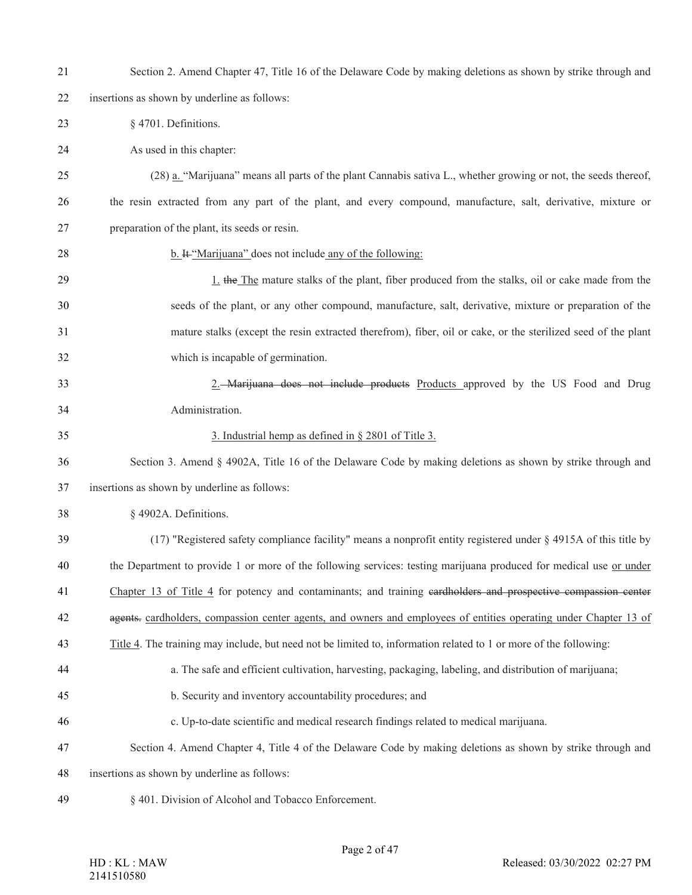| 21 | Section 2. Amend Chapter 47, Title 16 of the Delaware Code by making deletions as shown by strike through and      |
|----|--------------------------------------------------------------------------------------------------------------------|
| 22 | insertions as shown by underline as follows:                                                                       |
| 23 | § 4701. Definitions.                                                                                               |
| 24 | As used in this chapter:                                                                                           |
| 25 | (28) a. "Marijuana" means all parts of the plant Cannabis sativa L., whether growing or not, the seeds thereof,    |
| 26 | the resin extracted from any part of the plant, and every compound, manufacture, salt, derivative, mixture or      |
| 27 | preparation of the plant, its seeds or resin.                                                                      |
| 28 | b. It "Marijuana" does not include any of the following:                                                           |
| 29 | 1. the The mature stalks of the plant, fiber produced from the stalks, oil or cake made from the                   |
| 30 | seeds of the plant, or any other compound, manufacture, salt, derivative, mixture or preparation of the            |
| 31 | mature stalks (except the resin extracted therefrom), fiber, oil or cake, or the sterilized seed of the plant      |
| 32 | which is incapable of germination.                                                                                 |
| 33 | 2. Marijuana does not include products Products approved by the US Food and Drug                                   |
| 34 | Administration.                                                                                                    |
| 35 | 3. Industrial hemp as defined in § 2801 of Title 3.                                                                |
| 36 | Section 3. Amend § 4902A, Title 16 of the Delaware Code by making deletions as shown by strike through and         |
| 37 | insertions as shown by underline as follows:                                                                       |
| 38 | § 4902A. Definitions.                                                                                              |
| 39 | (17) "Registered safety compliance facility" means a nonprofit entity registered under § 4915A of this title by    |
| 40 | the Department to provide 1 or more of the following services: testing marijuana produced for medical use or under |
| 41 | Chapter 13 of Title 4 for potency and contaminants; and training eardholders and prospective compassion center     |
| 42 | agents. cardholders, compassion center agents, and owners and employees of entities operating under Chapter 13 of  |
| 43 | Title 4. The training may include, but need not be limited to, information related to 1 or more of the following:  |
| 44 | a. The safe and efficient cultivation, harvesting, packaging, labeling, and distribution of marijuana;             |
| 45 | b. Security and inventory accountability procedures; and                                                           |
| 46 | c. Up-to-date scientific and medical research findings related to medical marijuana.                               |
| 47 | Section 4. Amend Chapter 4, Title 4 of the Delaware Code by making deletions as shown by strike through and        |
| 48 | insertions as shown by underline as follows:                                                                       |
| 49 | § 401. Division of Alcohol and Tobacco Enforcement.                                                                |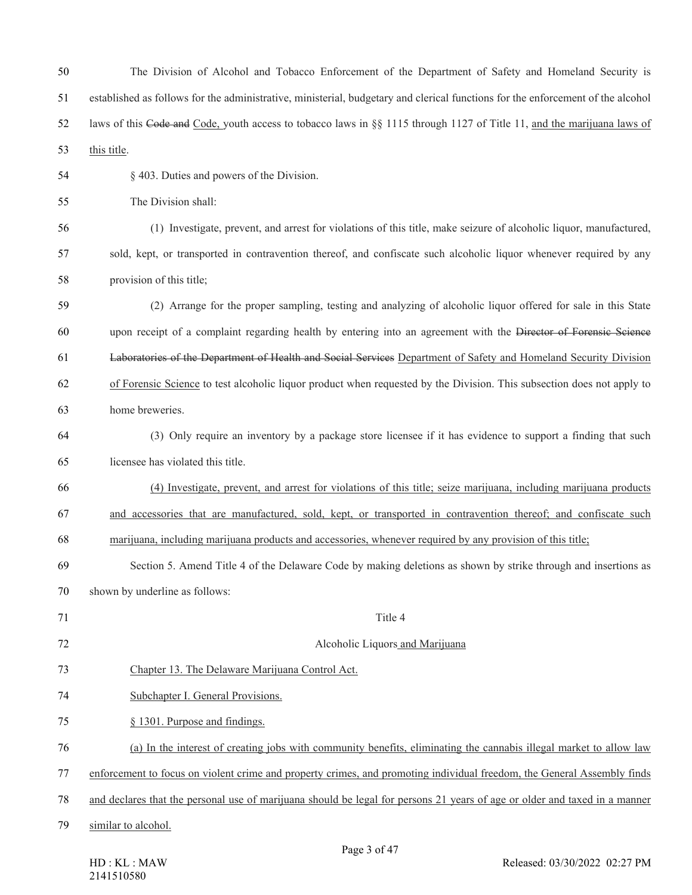| 50 | The Division of Alcohol and Tobacco Enforcement of the Department of Safety and Homeland Security is                            |
|----|---------------------------------------------------------------------------------------------------------------------------------|
| 51 | established as follows for the administrative, ministerial, budgetary and clerical functions for the enforcement of the alcohol |
| 52 | laws of this Code and Code, youth access to tobacco laws in §§ 1115 through 1127 of Title 11, and the marijuana laws of         |
| 53 | this title.                                                                                                                     |
| 54 | § 403. Duties and powers of the Division.                                                                                       |
| 55 | The Division shall:                                                                                                             |
| 56 | (1) Investigate, prevent, and arrest for violations of this title, make seizure of alcoholic liquor, manufactured,              |
| 57 | sold, kept, or transported in contravention thereof, and confiscate such alcoholic liquor whenever required by any              |
| 58 | provision of this title;                                                                                                        |
| 59 | (2) Arrange for the proper sampling, testing and analyzing of alcoholic liquor offered for sale in this State                   |
| 60 | upon receipt of a complaint regarding health by entering into an agreement with the Director of Forensic Science                |
| 61 | Laboratories of the Department of Health and Social Services Department of Safety and Homeland Security Division                |
| 62 | of Forensic Science to test alcoholic liquor product when requested by the Division. This subsection does not apply to          |
| 63 | home breweries.                                                                                                                 |
| 64 | (3) Only require an inventory by a package store licensee if it has evidence to support a finding that such                     |
| 65 | licensee has violated this title.                                                                                               |
| 66 | (4) Investigate, prevent, and arrest for violations of this title; seize marijuana, including marijuana products                |
| 67 | and accessories that are manufactured, sold, kept, or transported in contravention thereof; and confiscate such                 |
| 68 | marijuana, including marijuana products and accessories, whenever required by any provision of this title;                      |
| 69 | Section 5. Amend Title 4 of the Delaware Code by making deletions as shown by strike through and insertions as                  |
| 70 | shown by underline as follows:                                                                                                  |
| 71 | Title 4                                                                                                                         |
| 72 | Alcoholic Liquors and Marijuana                                                                                                 |
| 73 | Chapter 13. The Delaware Marijuana Control Act.                                                                                 |
| 74 | Subchapter I. General Provisions.                                                                                               |
| 75 | § 1301. Purpose and findings.                                                                                                   |
| 76 | (a) In the interest of creating jobs with community benefits, eliminating the cannabis illegal market to allow law              |
| 77 | enforcement to focus on violent crime and property crimes, and promoting individual freedom, the General Assembly finds         |
| 78 | and declares that the personal use of marijuana should be legal for persons 21 years of age or older and taxed in a manner      |
| 79 | similar to alcohol.                                                                                                             |
|    |                                                                                                                                 |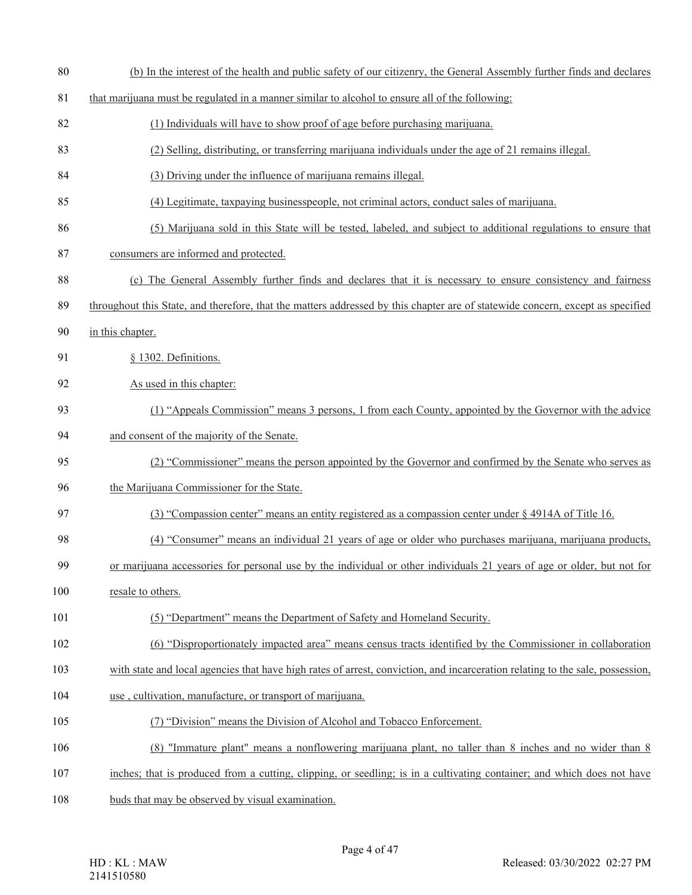(b) In the interest of the health and public safety of our citizenry, the General Assembly further finds and declares that marijuana must be regulated in a manner similar to alcohol to ensure all of the following: (1) Individuals will have to show proof of age before purchasing marijuana. (2) Selling, distributing, or transferring marijuana individuals under the age of 21 remains illegal. (3) Driving under the influence of marijuana remains illegal. (4) Legitimate, taxpaying businesspeople, not criminal actors, conduct sales of marijuana. (5) Marijuana sold in this State will be tested, labeled, and subject to additional regulations to ensure that consumers are informed and protected. (c) The General Assembly further finds and declares that it is necessary to ensure consistency and fairness throughout this State, and therefore, that the matters addressed by this chapter are of statewide concern, except as specified in this chapter. § 1302. Definitions. As used in this chapter: (1) "Appeals Commission" means 3 persons, 1 from each County, appointed by the Governor with the advice and consent of the majority of the Senate. (2) "Commissioner" means the person appointed by the Governor and confirmed by the Senate who serves as the Marijuana Commissioner for the State. (3) "Compassion center" means an entity registered as a compassion center under § 4914A of Title 16. (4) "Consumer" means an individual 21 years of age or older who purchases marijuana, marijuana products, or marijuana accessories for personal use by the individual or other individuals 21 years of age or older, but not for 100 resale to others. (5) "Department" means the Department of Safety and Homeland Security. (6) "Disproportionately impacted area" means census tracts identified by the Commissioner in collaboration 103 with state and local agencies that have high rates of arrest, conviction, and incarceration relating to the sale, possession, use , cultivation, manufacture, or transport of marijuana. (7) "Division" means the Division of Alcohol and Tobacco Enforcement. (8) "Immature plant" means a nonflowering marijuana plant, no taller than 8 inches and no wider than 8 inches; that is produced from a cutting, clipping, or seedling; is in a cultivating container; and which does not have buds that may be observed by visual examination.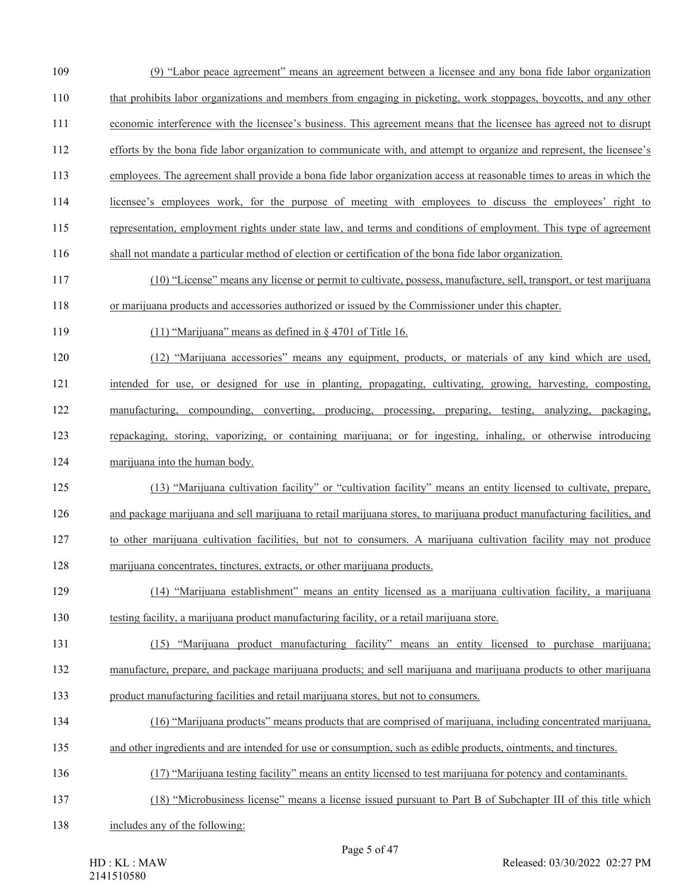- (9) "Labor peace agreement" means an agreement between a licensee and any bona fide labor organization that prohibits labor organizations and members from engaging in picketing, work stoppages, boycotts, and any other economic interference with the licensee's business. This agreement means that the licensee has agreed not to disrupt efforts by the bona fide labor organization to communicate with, and attempt to organize and represent, the licensee's employees. The agreement shall provide a bona fide labor organization access at reasonable times to areas in which the
- licensee's employees work, for the purpose of meeting with employees to discuss the employees' right to
- representation, employment rights under state law, and terms and conditions of employment. This type of agreement
- shall not mandate a particular method of election or certification of the bona fide labor organization.
- (10) "License" means any license or permit to cultivate, possess, manufacture, sell, transport, or test marijuana or marijuana products and accessories authorized or issued by the Commissioner under this chapter.
- (11) "Marijuana" means as defined in § 4701 of Title 16.
- (12) "Marijuana accessories" means any equipment, products, or materials of any kind which are used, intended for use, or designed for use in planting, propagating, cultivating, growing, harvesting, composting, manufacturing, compounding, converting, producing, processing, preparing, testing, analyzing, packaging, repackaging, storing, vaporizing, or containing marijuana; or for ingesting, inhaling, or otherwise introducing
- marijuana into the human body.
- (13) "Marijuana cultivation facility" or "cultivation facility" means an entity licensed to cultivate, prepare, and package marijuana and sell marijuana to retail marijuana stores, to marijuana product manufacturing facilities, and to other marijuana cultivation facilities, but not to consumers. A marijuana cultivation facility may not produce marijuana concentrates, tinctures, extracts, or other marijuana products.
- (14) "Marijuana establishment" means an entity licensed as a marijuana cultivation facility, a marijuana
- testing facility, a marijuana product manufacturing facility, or a retail marijuana store.
- (15) "Marijuana product manufacturing facility" means an entity licensed to purchase marijuana; manufacture, prepare, and package marijuana products; and sell marijuana and marijuana products to other marijuana
- product manufacturing facilities and retail marijuana stores, but not to consumers.
- (16) "Marijuana products" means products that are comprised of marijuana, including concentrated marijuana,
- and other ingredients and are intended for use or consumption, such as edible products, ointments, and tinctures.
- (17) "Marijuana testing facility" means an entity licensed to test marijuana for potency and contaminants.
- (18) "Microbusiness license" means a license issued pursuant to Part B of Subchapter III of this title which
- includes any of the following: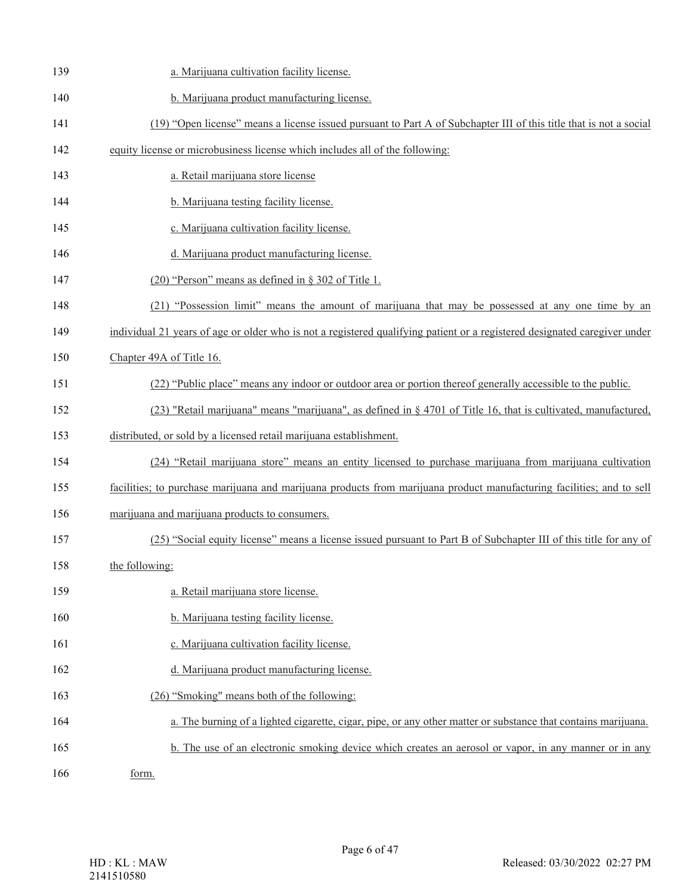| 139 | a. Marijuana cultivation facility license.                                                                                |
|-----|---------------------------------------------------------------------------------------------------------------------------|
| 140 | b. Marijuana product manufacturing license.                                                                               |
| 141 | (19) "Open license" means a license issued pursuant to Part A of Subchapter III of this title that is not a social        |
| 142 | equity license or microbusiness license which includes all of the following:                                              |
| 143 | a. Retail marijuana store license                                                                                         |
| 144 | b. Marijuana testing facility license.                                                                                    |
| 145 | c. Marijuana cultivation facility license.                                                                                |
| 146 | d. Marijuana product manufacturing license.                                                                               |
| 147 | $(20)$ "Person" means as defined in § 302 of Title 1.                                                                     |
| 148 | (21) "Possession limit" means the amount of marijuana that may be possessed at any one time by an                         |
| 149 | individual 21 years of age or older who is not a registered qualifying patient or a registered designated caregiver under |
| 150 | Chapter 49A of Title 16.                                                                                                  |
| 151 | (22) "Public place" means any indoor or outdoor area or portion thereof generally accessible to the public.               |
| 152 | (23) "Retail marijuana" means "marijuana", as defined in § 4701 of Title 16, that is cultivated, manufactured,            |
| 153 | distributed, or sold by a licensed retail marijuana establishment.                                                        |
| 154 | (24) "Retail marijuana store" means an entity licensed to purchase marijuana from marijuana cultivation                   |
| 155 | facilities; to purchase marijuana and marijuana products from marijuana product manufacturing facilities; and to sell     |
| 156 | marijuana and marijuana products to consumers.                                                                            |
| 157 | (25) "Social equity license" means a license issued pursuant to Part B of Subchapter III of this title for any of         |
| 158 | the following:                                                                                                            |
| 159 | a. Retail marijuana store license.                                                                                        |
| 160 | b. Marijuana testing facility license.                                                                                    |
| 161 | c. Marijuana cultivation facility license.                                                                                |
| 162 | d. Marijuana product manufacturing license.                                                                               |
| 163 | (26) "Smoking" means both of the following:                                                                               |
| 164 | a. The burning of a lighted cigarette, cigar, pipe, or any other matter or substance that contains marijuana.             |
| 165 | b. The use of an electronic smoking device which creates an aerosol or vapor, in any manner or in any                     |
| 166 | form.                                                                                                                     |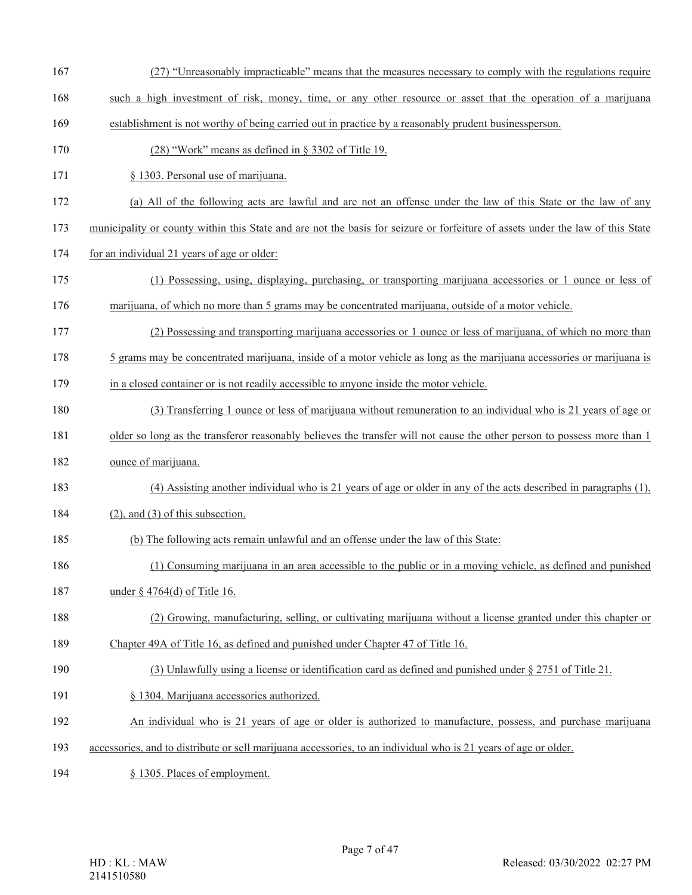- (27) "Unreasonably impracticable" means that the measures necessary to comply with the regulations require
- such a high investment of risk, money, time, or any other resource or asset that the operation of a marijuana
- establishment is not worthy of being carried out in practice by a reasonably prudent businessperson.
- (28) "Work" means as defined in § 3302 of Title 19.
- § 1303. Personal use of marijuana.
- (a) All of the following acts are lawful and are not an offense under the law of this State or the law of any
- municipality or county within this State and are not the basis for seizure or forfeiture of assets under the law of this State
- for an individual 21 years of age or older:
- (1) Possessing, using, displaying, purchasing, or transporting marijuana accessories or 1 ounce or less of marijuana, of which no more than 5 grams may be concentrated marijuana, outside of a motor vehicle.
- (2) Possessing and transporting marijuana accessories or 1 ounce or less of marijuana, of which no more than
- 5 grams may be concentrated marijuana, inside of a motor vehicle as long as the marijuana accessories or marijuana is
- in a closed container or is not readily accessible to anyone inside the motor vehicle.
- (3) Transferring 1 ounce or less of marijuana without remuneration to an individual who is 21 years of age or
- 181 older so long as the transferor reasonably believes the transfer will not cause the other person to possess more than 1
- ounce of marijuana.
- (4) Assisting another individual who is 21 years of age or older in any of the acts described in paragraphs (1),
- 184 (2), and (3) of this subsection.
- (b) The following acts remain unlawful and an offense under the law of this State:
- (1) Consuming marijuana in an area accessible to the public or in a moving vehicle, as defined and punished
- 187 under § 4764(d) of Title 16.
- (2) Growing, manufacturing, selling, or cultivating marijuana without a license granted under this chapter or
- Chapter 49A of Title 16, as defined and punished under Chapter 47 of Title 16.
- (3) Unlawfully using a license or identification card as defined and punished under § 2751 of Title 21.
- § 1304. Marijuana accessories authorized.
- An individual who is 21 years of age or older is authorized to manufacture, possess, and purchase marijuana
- accessories, and to distribute or sell marijuana accessories, to an individual who is 21 years of age or older.
- § 1305. Places of employment.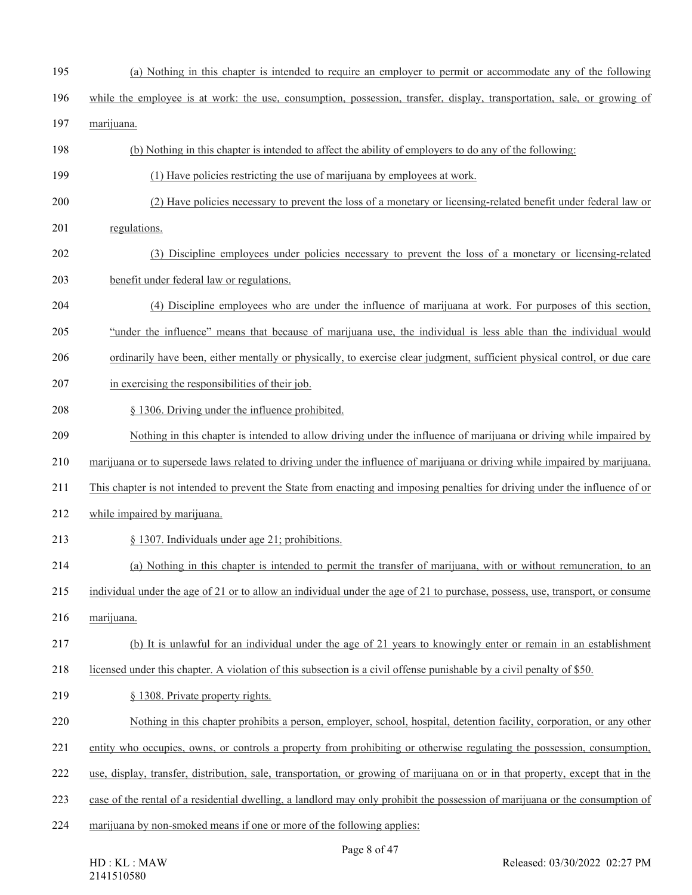- (a) Nothing in this chapter is intended to require an employer to permit or accommodate any of the following
- while the employee is at work: the use, consumption, possession, transfer, display, transportation, sale, or growing of
- marijuana.
- (b) Nothing in this chapter is intended to affect the ability of employers to do any of the following:
- (1) Have policies restricting the use of marijuana by employees at work.
- (2) Have policies necessary to prevent the loss of a monetary or licensing-related benefit under federal law or
- regulations.
- (3) Discipline employees under policies necessary to prevent the loss of a monetary or licensing-related benefit under federal law or regulations.
- (4) Discipline employees who are under the influence of marijuana at work. For purposes of this section,
- "under the influence" means that because of marijuana use, the individual is less able than the individual would
- ordinarily have been, either mentally or physically, to exercise clear judgment, sufficient physical control, or due care
- in exercising the responsibilities of their job.
- § 1306. Driving under the influence prohibited.
- Nothing in this chapter is intended to allow driving under the influence of marijuana or driving while impaired by
- marijuana or to supersede laws related to driving under the influence of marijuana or driving while impaired by marijuana.
- This chapter is not intended to prevent the State from enacting and imposing penalties for driving under the influence of or
- while impaired by marijuana.
- § 1307. Individuals under age 21; prohibitions.
- (a) Nothing in this chapter is intended to permit the transfer of marijuana, with or without remuneration, to an
- individual under the age of 21 or to allow an individual under the age of 21 to purchase, possess, use, transport, or consume
- marijuana.
- (b) It is unlawful for an individual under the age of 21 years to knowingly enter or remain in an establishment
- licensed under this chapter. A violation of this subsection is a civil offense punishable by a civil penalty of \$50.
- 219 § 1308. Private property rights.
- Nothing in this chapter prohibits a person, employer, school, hospital, detention facility, corporation, or any other
- entity who occupies, owns, or controls a property from prohibiting or otherwise regulating the possession, consumption,
- use, display, transfer, distribution, sale, transportation, or growing of marijuana on or in that property, except that in the
- case of the rental of a residential dwelling, a landlord may only prohibit the possession of marijuana or the consumption of
- marijuana by non-smoked means if one or more of the following applies: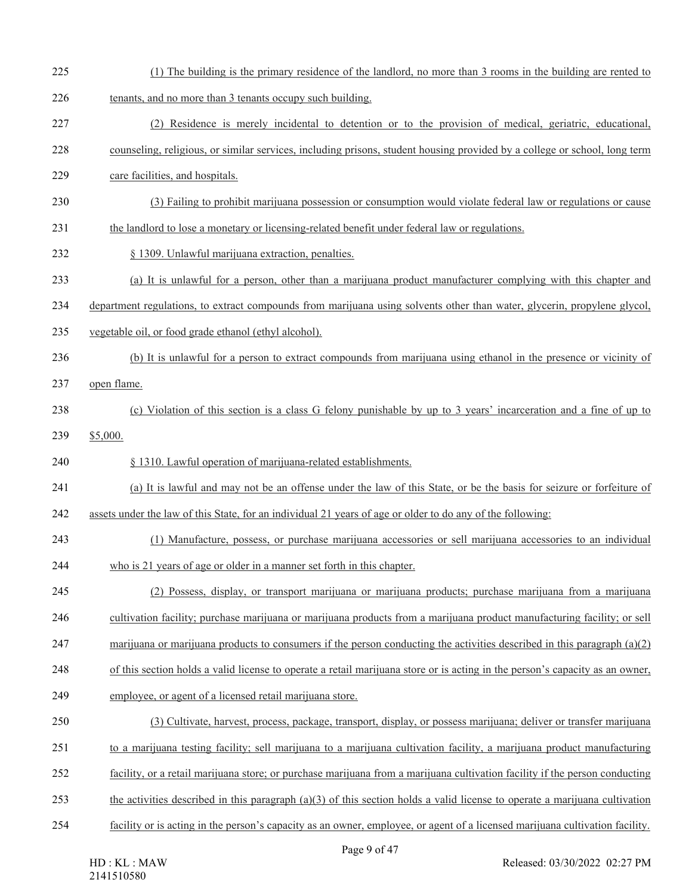- (1) The building is the primary residence of the landlord, no more than 3 rooms in the building are rented to
- tenants, and no more than 3 tenants occupy such building.
- (2) Residence is merely incidental to detention or to the provision of medical, geriatric, educational,
- counseling, religious, or similar services, including prisons, student housing provided by a college or school, long term
- care facilities, and hospitals.
- (3) Failing to prohibit marijuana possession or consumption would violate federal law or regulations or cause
- the landlord to lose a monetary or licensing-related benefit under federal law or regulations.
- § 1309. Unlawful marijuana extraction, penalties.
- (a) It is unlawful for a person, other than a marijuana product manufacturer complying with this chapter and
- department regulations, to extract compounds from marijuana using solvents other than water, glycerin, propylene glycol,
- vegetable oil, or food grade ethanol (ethyl alcohol).
- (b) It is unlawful for a person to extract compounds from marijuana using ethanol in the presence or vicinity of
- open flame.
- (c) Violation of this section is a class G felony punishable by up to 3 years' incarceration and a fine of up to
- \$5,000.

§ 1310. Lawful operation of marijuana-related establishments.

- (a) It is lawful and may not be an offense under the law of this State, or be the basis for seizure or forfeiture of
- assets under the law of this State, for an individual 21 years of age or older to do any of the following:
- (1) Manufacture, possess, or purchase marijuana accessories or sell marijuana accessories to an individual
- who is 21 years of age or older in a manner set forth in this chapter.
- (2) Possess, display, or transport marijuana or marijuana products; purchase marijuana from a marijuana
- cultivation facility; purchase marijuana or marijuana products from a marijuana product manufacturing facility; or sell
- 247 marijuana or marijuana products to consumers if the person conducting the activities described in this paragraph  $(a)(2)$
- of this section holds a valid license to operate a retail marijuana store or is acting in the person's capacity as an owner,
- employee, or agent of a licensed retail marijuana store.
- (3) Cultivate, harvest, process, package, transport, display, or possess marijuana; deliver or transfer marijuana
- to a marijuana testing facility; sell marijuana to a marijuana cultivation facility, a marijuana product manufacturing
- facility, or a retail marijuana store; or purchase marijuana from a marijuana cultivation facility if the person conducting
- the activities described in this paragraph (a)(3) of this section holds a valid license to operate a marijuana cultivation
- facility or is acting in the person's capacity as an owner, employee, or agent of a licensed marijuana cultivation facility.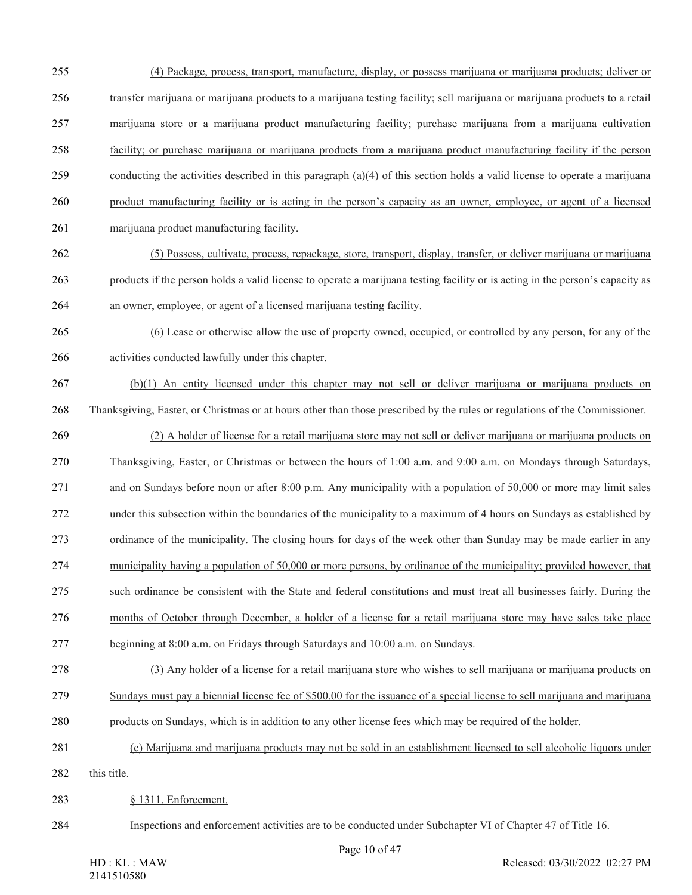(4) Package, process, transport, manufacture, display, or possess marijuana or marijuana products; deliver or transfer marijuana or marijuana products to a marijuana testing facility; sell marijuana or marijuana products to a retail marijuana store or a marijuana product manufacturing facility; purchase marijuana from a marijuana cultivation facility; or purchase marijuana or marijuana products from a marijuana product manufacturing facility if the person conducting the activities described in this paragraph (a)(4) of this section holds a valid license to operate a marijuana product manufacturing facility or is acting in the person's capacity as an owner, employee, or agent of a licensed marijuana product manufacturing facility. (5) Possess, cultivate, process, repackage, store, transport, display, transfer, or deliver marijuana or marijuana products if the person holds a valid license to operate a marijuana testing facility or is acting in the person's capacity as an owner, employee, or agent of a licensed marijuana testing facility. (6) Lease or otherwise allow the use of property owned, occupied, or controlled by any person, for any of the activities conducted lawfully under this chapter. (b)(1) An entity licensed under this chapter may not sell or deliver marijuana or marijuana products on Thanksgiving, Easter, or Christmas or at hours other than those prescribed by the rules or regulations of the Commissioner. (2) A holder of license for a retail marijuana store may not sell or deliver marijuana or marijuana products on Thanksgiving, Easter, or Christmas or between the hours of 1:00 a.m. and 9:00 a.m. on Mondays through Saturdays, and on Sundays before noon or after 8:00 p.m. Any municipality with a population of 50,000 or more may limit sales under this subsection within the boundaries of the municipality to a maximum of 4 hours on Sundays as established by ordinance of the municipality. The closing hours for days of the week other than Sunday may be made earlier in any municipality having a population of 50,000 or more persons, by ordinance of the municipality; provided however, that such ordinance be consistent with the State and federal constitutions and must treat all businesses fairly. During the months of October through December, a holder of a license for a retail marijuana store may have sales take place beginning at 8:00 a.m. on Fridays through Saturdays and 10:00 a.m. on Sundays. (3) Any holder of a license for a retail marijuana store who wishes to sell marijuana or marijuana products on Sundays must pay a biennial license fee of \$500.00 for the issuance of a special license to sell marijuana and marijuana products on Sundays, which is in addition to any other license fees which may be required of the holder. (c) Marijuana and marijuana products may not be sold in an establishment licensed to sell alcoholic liquors under 282 this title. § 1311. Enforcement. Inspections and enforcement activities are to be conducted under Subchapter VI of Chapter 47 of Title 16.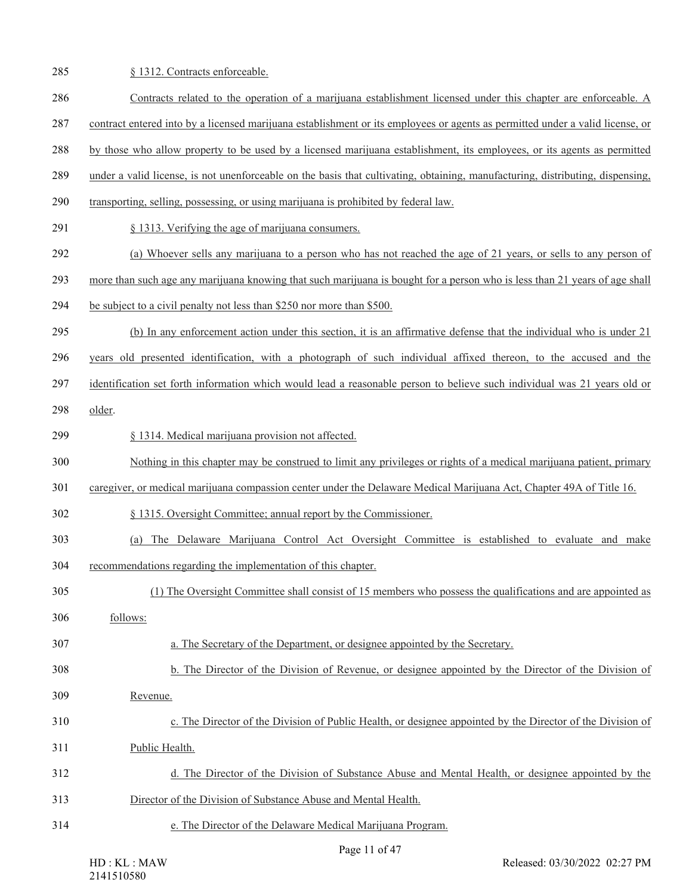285 § 1312. Contracts enforceable. Contracts related to the operation of a marijuana establishment licensed under this chapter are enforceable. A contract entered into by a licensed marijuana establishment or its employees or agents as permitted under a valid license, or by those who allow property to be used by a licensed marijuana establishment, its employees, or its agents as permitted under a valid license, is not unenforceable on the basis that cultivating, obtaining, manufacturing, distributing, dispensing, transporting, selling, possessing, or using marijuana is prohibited by federal law. § 1313. Verifying the age of marijuana consumers. (a) Whoever sells any marijuana to a person who has not reached the age of 21 years, or sells to any person of more than such age any marijuana knowing that such marijuana is bought for a person who is less than 21 years of age shall be subject to a civil penalty not less than \$250 nor more than \$500. (b) In any enforcement action under this section, it is an affirmative defense that the individual who is under 21 years old presented identification, with a photograph of such individual affixed thereon, to the accused and the identification set forth information which would lead a reasonable person to believe such individual was 21 years old or older. § 1314. Medical marijuana provision not affected. Nothing in this chapter may be construed to limit any privileges or rights of a medical marijuana patient, primary caregiver, or medical marijuana compassion center under the Delaware Medical Marijuana Act, Chapter 49A of Title 16. § 1315. Oversight Committee; annual report by the Commissioner. (a) The Delaware Marijuana Control Act Oversight Committee is established to evaluate and make recommendations regarding the implementation of this chapter. (1) The Oversight Committee shall consist of 15 members who possess the qualifications and are appointed as follows: a. The Secretary of the Department, or designee appointed by the Secretary. b. The Director of the Division of Revenue, or designee appointed by the Director of the Division of Revenue. c. The Director of the Division of Public Health, or designee appointed by the Director of the Division of Public Health. d. The Director of the Division of Substance Abuse and Mental Health, or designee appointed by the Director of the Division of Substance Abuse and Mental Health. e. The Director of the Delaware Medical Marijuana Program.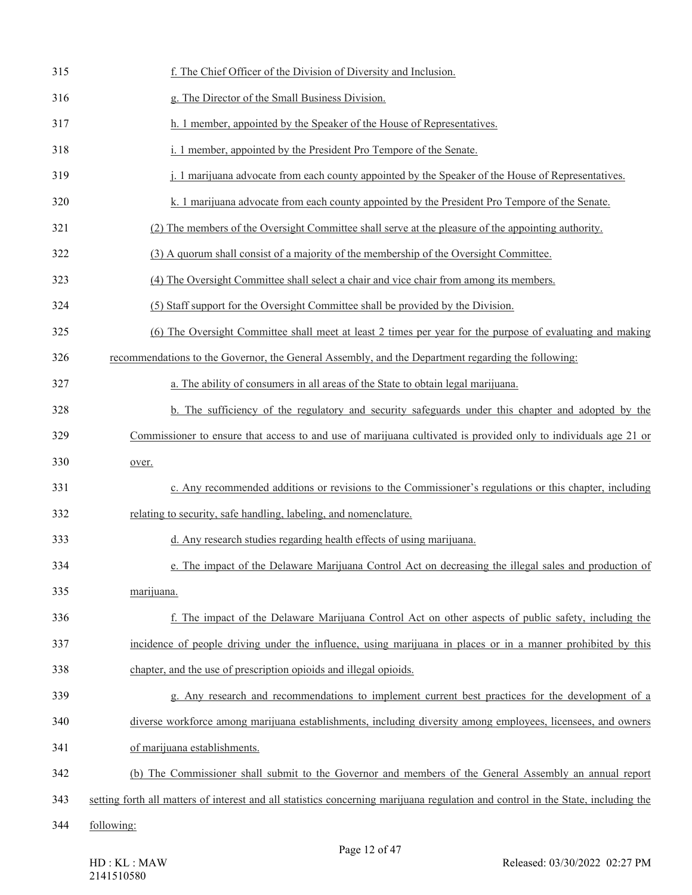| 315 | f. The Chief Officer of the Division of Diversity and Inclusion.                                                                 |
|-----|----------------------------------------------------------------------------------------------------------------------------------|
| 316 | g. The Director of the Small Business Division.                                                                                  |
| 317 | h. 1 member, appointed by the Speaker of the House of Representatives.                                                           |
| 318 | i. 1 member, appointed by the President Pro Tempore of the Senate.                                                               |
| 319 | j. 1 marijuana advocate from each county appointed by the Speaker of the House of Representatives.                               |
| 320 | k. 1 marijuana advocate from each county appointed by the President Pro Tempore of the Senate.                                   |
| 321 | (2) The members of the Oversight Committee shall serve at the pleasure of the appointing authority.                              |
| 322 | (3) A quorum shall consist of a majority of the membership of the Oversight Committee.                                           |
| 323 | (4) The Oversight Committee shall select a chair and vice chair from among its members.                                          |
| 324 | (5) Staff support for the Oversight Committee shall be provided by the Division.                                                 |
| 325 | (6) The Oversight Committee shall meet at least 2 times per year for the purpose of evaluating and making                        |
| 326 | recommendations to the Governor, the General Assembly, and the Department regarding the following:                               |
| 327 | a. The ability of consumers in all areas of the State to obtain legal marijuana.                                                 |
| 328 | b. The sufficiency of the regulatory and security safeguards under this chapter and adopted by the                               |
| 329 | Commissioner to ensure that access to and use of marijuana cultivated is provided only to individuals age 21 or                  |
| 330 | over.                                                                                                                            |
| 331 | c. Any recommended additions or revisions to the Commissioner's regulations or this chapter, including                           |
| 332 | relating to security, safe handling, labeling, and nomenclature.                                                                 |
| 333 | d. Any research studies regarding health effects of using marijuana.                                                             |
| 334 | e. The impact of the Delaware Marijuana Control Act on decreasing the illegal sales and production of                            |
| 335 | marijuana.                                                                                                                       |
| 336 | f. The impact of the Delaware Marijuana Control Act on other aspects of public safety, including the                             |
| 337 | incidence of people driving under the influence, using marijuana in places or in a manner prohibited by this                     |
| 338 | chapter, and the use of prescription opioids and illegal opioids.                                                                |
| 339 | g. Any research and recommendations to implement current best practices for the development of a                                 |
| 340 | diverse workforce among marijuana establishments, including diversity among employees, licensees, and owners                     |
| 341 | of marijuana establishments.                                                                                                     |
| 342 | (b) The Commissioner shall submit to the Governor and members of the General Assembly an annual report                           |
| 343 | setting forth all matters of interest and all statistics concerning marijuana regulation and control in the State, including the |
| 344 | following:                                                                                                                       |
|     | Page 12 of $47$                                                                                                                  |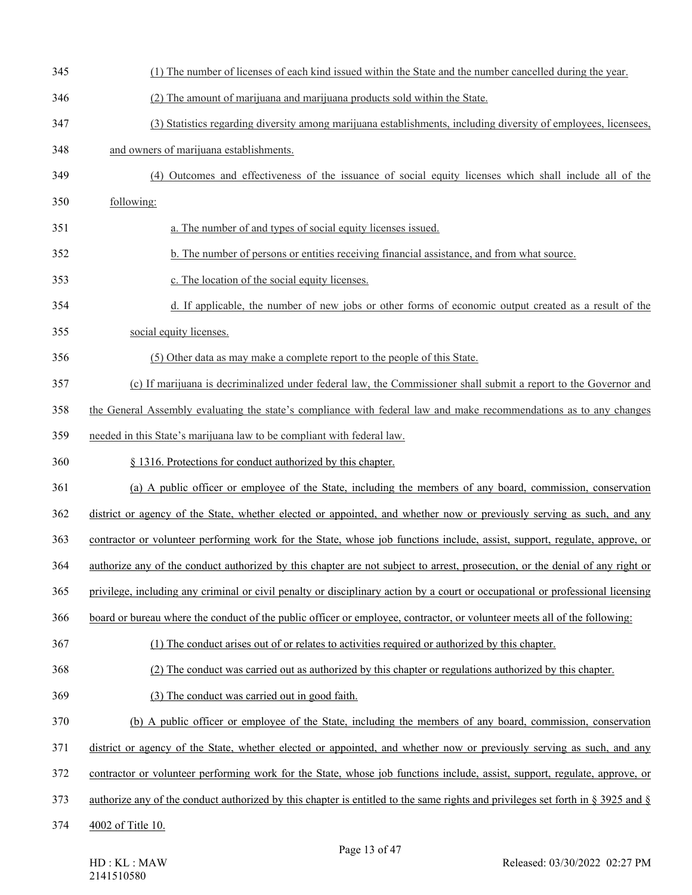| 345 | (1) The number of licenses of each kind issued within the State and the number cancelled during the year.                       |
|-----|---------------------------------------------------------------------------------------------------------------------------------|
| 346 | (2) The amount of marijuana and marijuana products sold within the State.                                                       |
| 347 | (3) Statistics regarding diversity among marijuana establishments, including diversity of employees, licensees,                 |
| 348 | and owners of marijuana establishments.                                                                                         |
| 349 | (4) Outcomes and effectiveness of the issuance of social equity licenses which shall include all of the                         |
| 350 | following:                                                                                                                      |
| 351 | a. The number of and types of social equity licenses issued.                                                                    |
| 352 | b. The number of persons or entities receiving financial assistance, and from what source.                                      |
| 353 | c. The location of the social equity licenses.                                                                                  |
| 354 | d. If applicable, the number of new jobs or other forms of economic output created as a result of the                           |
| 355 | social equity licenses.                                                                                                         |
| 356 | (5) Other data as may make a complete report to the people of this State.                                                       |
| 357 | (c) If marijuana is decriminalized under federal law, the Commissioner shall submit a report to the Governor and                |
| 358 | the General Assembly evaluating the state's compliance with federal law and make recommendations as to any changes              |
| 359 | needed in this State's marijuana law to be compliant with federal law.                                                          |
| 360 | § 1316. Protections for conduct authorized by this chapter.                                                                     |
| 361 | (a) A public officer or employee of the State, including the members of any board, commission, conservation                     |
| 362 | district or agency of the State, whether elected or appointed, and whether now or previously serving as such, and any           |
| 363 | contractor or volunteer performing work for the State, whose job functions include, assist, support, regulate, approve, or      |
| 364 | authorize any of the conduct authorized by this chapter are not subject to arrest, prosecution, or the denial of any right or   |
| 365 | privilege, including any criminal or civil penalty or disciplinary action by a court or occupational or professional licensing  |
| 366 | board or bureau where the conduct of the public officer or employee, contractor, or volunteer meets all of the following:       |
| 367 | (1) The conduct arises out of or relates to activities required or authorized by this chapter.                                  |
| 368 | (2) The conduct was carried out as authorized by this chapter or regulations authorized by this chapter.                        |
| 369 | (3) The conduct was carried out in good faith.                                                                                  |
| 370 | (b) A public officer or employee of the State, including the members of any board, commission, conservation                     |
| 371 | district or agency of the State, whether elected or appointed, and whether now or previously serving as such, and any           |
| 372 | contractor or volunteer performing work for the State, whose job functions include, assist, support, regulate, approve, or      |
| 373 | authorize any of the conduct authorized by this chapter is entitled to the same rights and privileges set forth in § 3925 and § |
| 374 | 4002 of Title 10.                                                                                                               |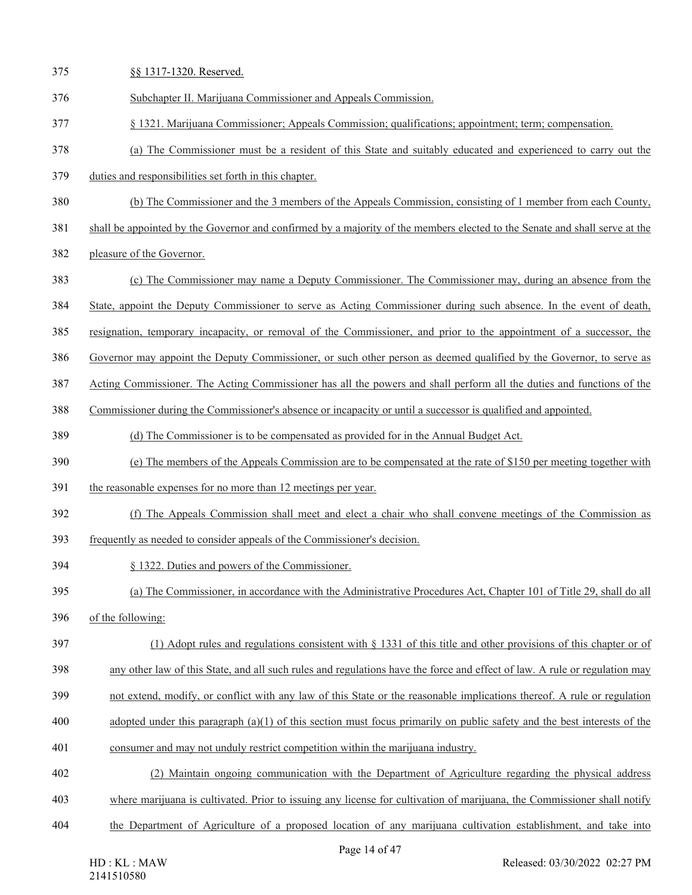| 375 | §§ 1317-1320. Reserved.                                                                                                    |
|-----|----------------------------------------------------------------------------------------------------------------------------|
| 376 | Subchapter II. Marijuana Commissioner and Appeals Commission.                                                              |
| 377 | § 1321. Marijuana Commissioner; Appeals Commission; qualifications; appointment; term; compensation.                       |
| 378 | (a) The Commissioner must be a resident of this State and suitably educated and experienced to carry out the               |
| 379 | duties and responsibilities set forth in this chapter.                                                                     |
| 380 | (b) The Commissioner and the 3 members of the Appeals Commission, consisting of 1 member from each County,                 |
| 381 | shall be appointed by the Governor and confirmed by a majority of the members elected to the Senate and shall serve at the |
| 382 | pleasure of the Governor.                                                                                                  |
| 383 | (c) The Commissioner may name a Deputy Commissioner. The Commissioner may, during an absence from the                      |
| 384 | State, appoint the Deputy Commissioner to serve as Acting Commissioner during such absence. In the event of death,         |
| 385 | resignation, temporary incapacity, or removal of the Commissioner, and prior to the appointment of a successor, the        |
| 386 | Governor may appoint the Deputy Commissioner, or such other person as deemed qualified by the Governor, to serve as        |
| 387 | Acting Commissioner. The Acting Commissioner has all the powers and shall perform all the duties and functions of the      |
| 388 | Commissioner during the Commissioner's absence or incapacity or until a successor is qualified and appointed.              |
| 389 | (d) The Commissioner is to be compensated as provided for in the Annual Budget Act.                                        |
| 390 | (e) The members of the Appeals Commission are to be compensated at the rate of \$150 per meeting together with             |
| 391 | the reasonable expenses for no more than 12 meetings per year.                                                             |
| 392 | (f) The Appeals Commission shall meet and elect a chair who shall convene meetings of the Commission as                    |
| 393 | frequently as needed to consider appeals of the Commissioner's decision.                                                   |
| 394 | § 1322. Duties and powers of the Commissioner.                                                                             |
| 395 | (a) The Commissioner, in accordance with the Administrative Procedures Act, Chapter 101 of Title 29, shall do all          |
| 396 | of the following:                                                                                                          |
| 397 | (1) Adopt rules and regulations consistent with $\S$ 1331 of this title and other provisions of this chapter or of         |
| 398 | any other law of this State, and all such rules and regulations have the force and effect of law. A rule or regulation may |
| 399 | not extend, modify, or conflict with any law of this State or the reasonable implications thereof. A rule or regulation    |
| 400 | adopted under this paragraph $(a)(1)$ of this section must focus primarily on public safety and the best interests of the  |
| 401 | consumer and may not unduly restrict competition within the marijuana industry.                                            |
| 402 | (2) Maintain ongoing communication with the Department of Agriculture regarding the physical address                       |
| 403 | where marijuana is cultivated. Prior to issuing any license for cultivation of marijuana, the Commissioner shall notify    |
| 404 | the Department of Agriculture of a proposed location of any marijuana cultivation establishment, and take into             |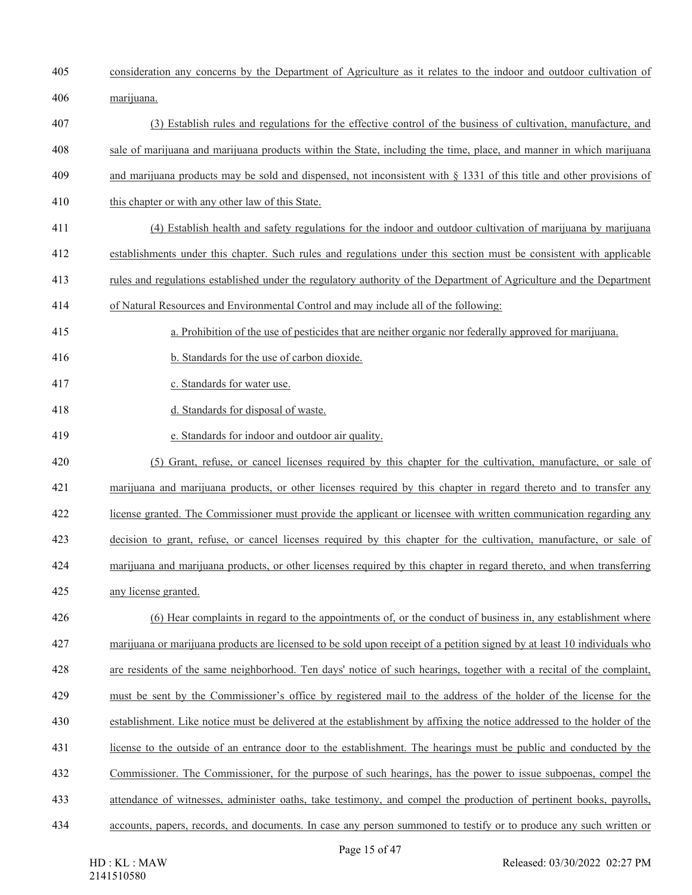- consideration any concerns by the Department of Agriculture as it relates to the indoor and outdoor cultivation of
- marijuana.
- (3) Establish rules and regulations for the effective control of the business of cultivation, manufacture, and
- sale of marijuana and marijuana products within the State, including the time, place, and manner in which marijuana
- and marijuana products may be sold and dispensed, not inconsistent with § 1331 of this title and other provisions of
- 410 this chapter or with any other law of this State.
- (4) Establish health and safety regulations for the indoor and outdoor cultivation of marijuana by marijuana
- establishments under this chapter. Such rules and regulations under this section must be consistent with applicable
- rules and regulations established under the regulatory authority of the Department of Agriculture and the Department
- of Natural Resources and Environmental Control and may include all of the following:
- a. Prohibition of the use of pesticides that are neither organic nor federally approved for marijuana.
- b. Standards for the use of carbon dioxide.
- c. Standards for water use.
- d. Standards for disposal of waste.
- e. Standards for indoor and outdoor air quality.
- (5) Grant, refuse, or cancel licenses required by this chapter for the cultivation, manufacture, or sale of
- marijuana and marijuana products, or other licenses required by this chapter in regard thereto and to transfer any
- license granted. The Commissioner must provide the applicant or licensee with written communication regarding any
- decision to grant, refuse, or cancel licenses required by this chapter for the cultivation, manufacture, or sale of
- marijuana and marijuana products, or other licenses required by this chapter in regard thereto, and when transferring
- any license granted.
- (6) Hear complaints in regard to the appointments of, or the conduct of business in, any establishment where
- marijuana or marijuana products are licensed to be sold upon receipt of a petition signed by at least 10 individuals who
- are residents of the same neighborhood. Ten days' notice of such hearings, together with a recital of the complaint,
- must be sent by the Commissioner's office by registered mail to the address of the holder of the license for the
- establishment. Like notice must be delivered at the establishment by affixing the notice addressed to the holder of the
- license to the outside of an entrance door to the establishment. The hearings must be public and conducted by the
- Commissioner. The Commissioner, for the purpose of such hearings, has the power to issue subpoenas, compel the
- attendance of witnesses, administer oaths, take testimony, and compel the production of pertinent books, payrolls,
- accounts, papers, records, and documents. In case any person summoned to testify or to produce any such written or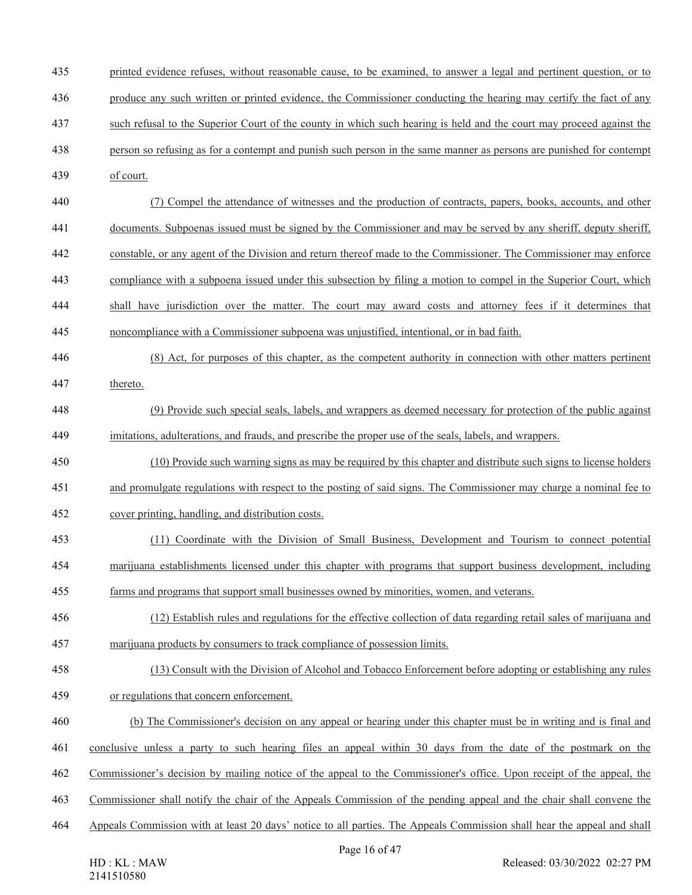- printed evidence refuses, without reasonable cause, to be examined, to answer a legal and pertinent question, or to produce any such written or printed evidence, the Commissioner conducting the hearing may certify the fact of any
- such refusal to the Superior Court of the county in which such hearing is held and the court may proceed against the
- person so refusing as for a contempt and punish such person in the same manner as persons are punished for contempt
- of court.
- (7) Compel the attendance of witnesses and the production of contracts, papers, books, accounts, and other
- documents. Subpoenas issued must be signed by the Commissioner and may be served by any sheriff, deputy sheriff,
- constable, or any agent of the Division and return thereof made to the Commissioner. The Commissioner may enforce
- compliance with a subpoena issued under this subsection by filing a motion to compel in the Superior Court, which
- shall have jurisdiction over the matter. The court may award costs and attorney fees if it determines that
- noncompliance with a Commissioner subpoena was unjustified, intentional, or in bad faith.
- (8) Act, for purposes of this chapter, as the competent authority in connection with other matters pertinent thereto.
- (9) Provide such special seals, labels, and wrappers as deemed necessary for protection of the public against imitations, adulterations, and frauds, and prescribe the proper use of the seals, labels, and wrappers.
- (10) Provide such warning signs as may be required by this chapter and distribute such signs to license holders
- and promulgate regulations with respect to the posting of said signs. The Commissioner may charge a nominal fee to
- cover printing, handling, and distribution costs.
- (11) Coordinate with the Division of Small Business, Development and Tourism to connect potential marijuana establishments licensed under this chapter with programs that support business development, including
- farms and programs that support small businesses owned by minorities, women, and veterans.
- (12) Establish rules and regulations for the effective collection of data regarding retail sales of marijuana and marijuana products by consumers to track compliance of possession limits.
- (13) Consult with the Division of Alcohol and Tobacco Enforcement before adopting or establishing any rules or regulations that concern enforcement.
- (b) The Commissioner's decision on any appeal or hearing under this chapter must be in writing and is final and
- conclusive unless a party to such hearing files an appeal within 30 days from the date of the postmark on the
- Commissioner's decision by mailing notice of the appeal to the Commissioner's office. Upon receipt of the appeal, the
- Commissioner shall notify the chair of the Appeals Commission of the pending appeal and the chair shall convene the
- Appeals Commission with at least 20 days' notice to all parties. The Appeals Commission shall hear the appeal and shall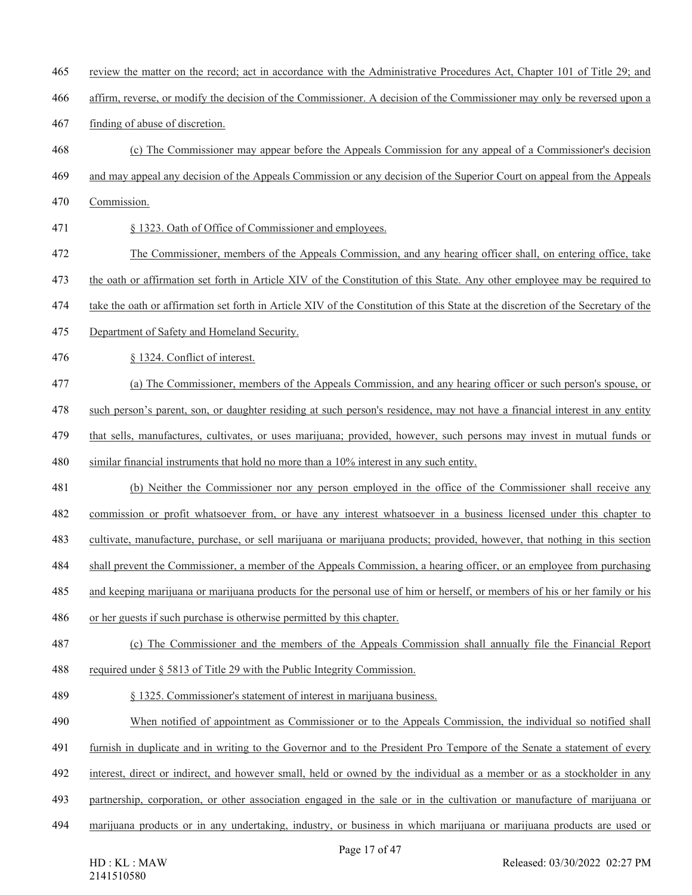- review the matter on the record; act in accordance with the Administrative Procedures Act, Chapter 101 of Title 29; and
- affirm, reverse, or modify the decision of the Commissioner. A decision of the Commissioner may only be reversed upon a
- finding of abuse of discretion.
- (c) The Commissioner may appear before the Appeals Commission for any appeal of a Commissioner's decision
- and may appeal any decision of the Appeals Commission or any decision of the Superior Court on appeal from the Appeals
- Commission.
- § 1323. Oath of Office of Commissioner and employees.
- The Commissioner, members of the Appeals Commission, and any hearing officer shall, on entering office, take
- the oath or affirmation set forth in Article XIV of the Constitution of this State. Any other employee may be required to
- take the oath or affirmation set forth in Article XIV of the Constitution of this State at the discretion of the Secretary of the
- Department of Safety and Homeland Security.
- § 1324. Conflict of interest.
- (a) The Commissioner, members of the Appeals Commission, and any hearing officer or such person's spouse, or
- such person's parent, son, or daughter residing at such person's residence, may not have a financial interest in any entity
- that sells, manufactures, cultivates, or uses marijuana; provided, however, such persons may invest in mutual funds or
- similar financial instruments that hold no more than a 10% interest in any such entity.
- (b) Neither the Commissioner nor any person employed in the office of the Commissioner shall receive any
- commission or profit whatsoever from, or have any interest whatsoever in a business licensed under this chapter to
- cultivate, manufacture, purchase, or sell marijuana or marijuana products; provided, however, that nothing in this section
- shall prevent the Commissioner, a member of the Appeals Commission, a hearing officer, or an employee from purchasing
- and keeping marijuana or marijuana products for the personal use of him or herself, or members of his or her family or his
- or her guests if such purchase is otherwise permitted by this chapter.
- (c) The Commissioner and the members of the Appeals Commission shall annually file the Financial Report
- 488 required under § 5813 of Title 29 with the Public Integrity Commission.
- § 1325. Commissioner's statement of interest in marijuana business.
- When notified of appointment as Commissioner or to the Appeals Commission, the individual so notified shall
- furnish in duplicate and in writing to the Governor and to the President Pro Tempore of the Senate a statement of every
- interest, direct or indirect, and however small, held or owned by the individual as a member or as a stockholder in any
- partnership, corporation, or other association engaged in the sale or in the cultivation or manufacture of marijuana or
- marijuana products or in any undertaking, industry, or business in which marijuana or marijuana products are used or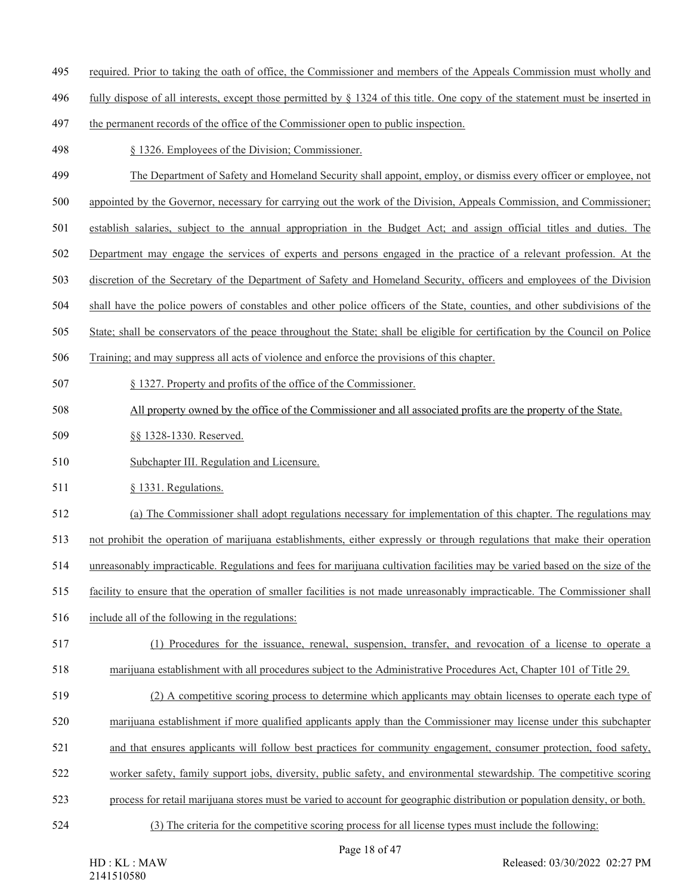- required. Prior to taking the oath of office, the Commissioner and members of the Appeals Commission must wholly and
- fully dispose of all interests, except those permitted by § 1324 of this title. One copy of the statement must be inserted in
- the permanent records of the office of the Commissioner open to public inspection.
- § 1326. Employees of the Division; Commissioner.
- The Department of Safety and Homeland Security shall appoint, employ, or dismiss every officer or employee, not
- appointed by the Governor, necessary for carrying out the work of the Division, Appeals Commission, and Commissioner;
- establish salaries, subject to the annual appropriation in the Budget Act; and assign official titles and duties. The
- Department may engage the services of experts and persons engaged in the practice of a relevant profession. At the
- discretion of the Secretary of the Department of Safety and Homeland Security, officers and employees of the Division
- shall have the police powers of constables and other police officers of the State, counties, and other subdivisions of the
- State; shall be conservators of the peace throughout the State; shall be eligible for certification by the Council on Police
- Training; and may suppress all acts of violence and enforce the provisions of this chapter.
- § 1327. Property and profits of the office of the Commissioner.
- 508 All property owned by the office of the Commissioner and all associated profits are the property of the State.
- §§ 1328-1330. Reserved.
- Subchapter III. Regulation and Licensure.
- 511 § 1331. Regulations.
- (a) The Commissioner shall adopt regulations necessary for implementation of this chapter. The regulations may
- not prohibit the operation of marijuana establishments, either expressly or through regulations that make their operation
- unreasonably impracticable. Regulations and fees for marijuana cultivation facilities may be varied based on the size of the
- facility to ensure that the operation of smaller facilities is not made unreasonably impracticable. The Commissioner shall
- include all of the following in the regulations:
- (1) Procedures for the issuance, renewal, suspension, transfer, and revocation of a license to operate a marijuana establishment with all procedures subject to the Administrative Procedures Act, Chapter 101 of Title 29.
- (2) A competitive scoring process to determine which applicants may obtain licenses to operate each type of
- marijuana establishment if more qualified applicants apply than the Commissioner may license under this subchapter
- and that ensures applicants will follow best practices for community engagement, consumer protection, food safety,
- worker safety, family support jobs, diversity, public safety, and environmental stewardship. The competitive scoring
- process for retail marijuana stores must be varied to account for geographic distribution or population density, or both.
- 
- (3) The criteria for the competitive scoring process for all license types must include the following: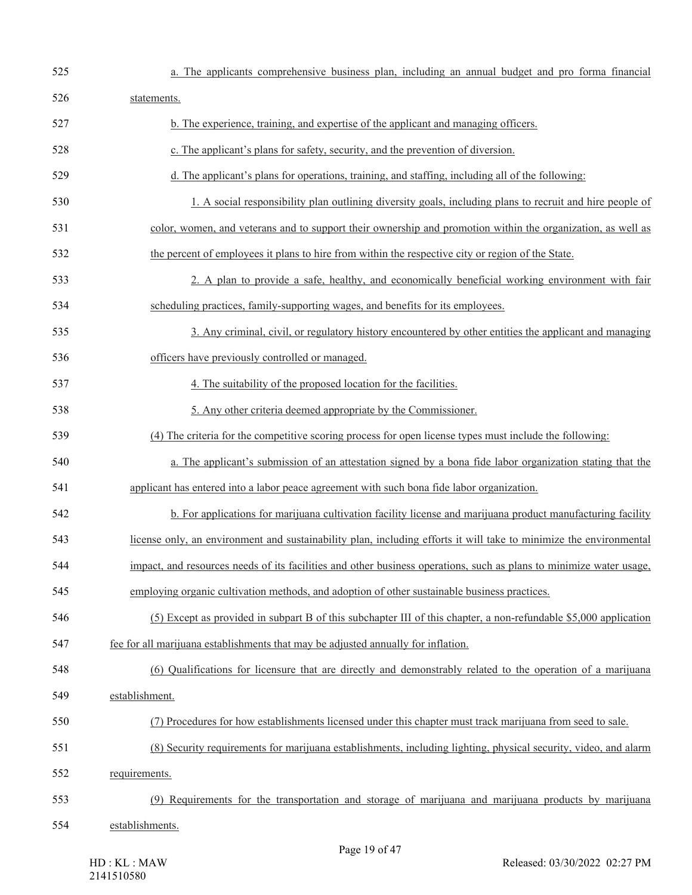| 525 | a. The applicants comprehensive business plan, including an annual budget and pro forma financial                   |
|-----|---------------------------------------------------------------------------------------------------------------------|
| 526 | statements.                                                                                                         |
| 527 | b. The experience, training, and expertise of the applicant and managing officers.                                  |
| 528 | c. The applicant's plans for safety, security, and the prevention of diversion.                                     |
| 529 | d. The applicant's plans for operations, training, and staffing, including all of the following:                    |
| 530 | 1. A social responsibility plan outlining diversity goals, including plans to recruit and hire people of            |
| 531 | color, women, and veterans and to support their ownership and promotion within the organization, as well as         |
| 532 | the percent of employees it plans to hire from within the respective city or region of the State.                   |
| 533 | 2. A plan to provide a safe, healthy, and economically beneficial working environment with fair                     |
| 534 | scheduling practices, family-supporting wages, and benefits for its employees.                                      |
| 535 | 3. Any criminal, civil, or regulatory history encountered by other entities the applicant and managing              |
| 536 | officers have previously controlled or managed.                                                                     |
| 537 | 4. The suitability of the proposed location for the facilities.                                                     |
| 538 | 5. Any other criteria deemed appropriate by the Commissioner.                                                       |
| 539 | (4) The criteria for the competitive scoring process for open license types must include the following:             |
| 540 | a. The applicant's submission of an attestation signed by a bona fide labor organization stating that the           |
| 541 | applicant has entered into a labor peace agreement with such bona fide labor organization.                          |
| 542 | b. For applications for marijuana cultivation facility license and marijuana product manufacturing facility         |
| 543 | license only, an environment and sustainability plan, including efforts it will take to minimize the environmental  |
| 544 | impact, and resources needs of its facilities and other business operations, such as plans to minimize water usage, |
| 545 | employing organic cultivation methods, and adoption of other sustainable business practices.                        |
| 546 | (5) Except as provided in subpart B of this subchapter III of this chapter, a non-refundable \$5,000 application    |
| 547 | fee for all marijuana establishments that may be adjusted annually for inflation.                                   |
| 548 | (6) Qualifications for licensure that are directly and demonstrably related to the operation of a marijuana         |
| 549 | establishment.                                                                                                      |
| 550 | (7) Procedures for how establishments licensed under this chapter must track marijuana from seed to sale.           |
| 551 | (8) Security requirements for marijuana establishments, including lighting, physical security, video, and alarm     |
| 552 | requirements.                                                                                                       |
| 553 | (9) Requirements for the transportation and storage of marijuana and marijuana products by marijuana                |
| 554 | establishments.                                                                                                     |
|     | Page 19 of $47$                                                                                                     |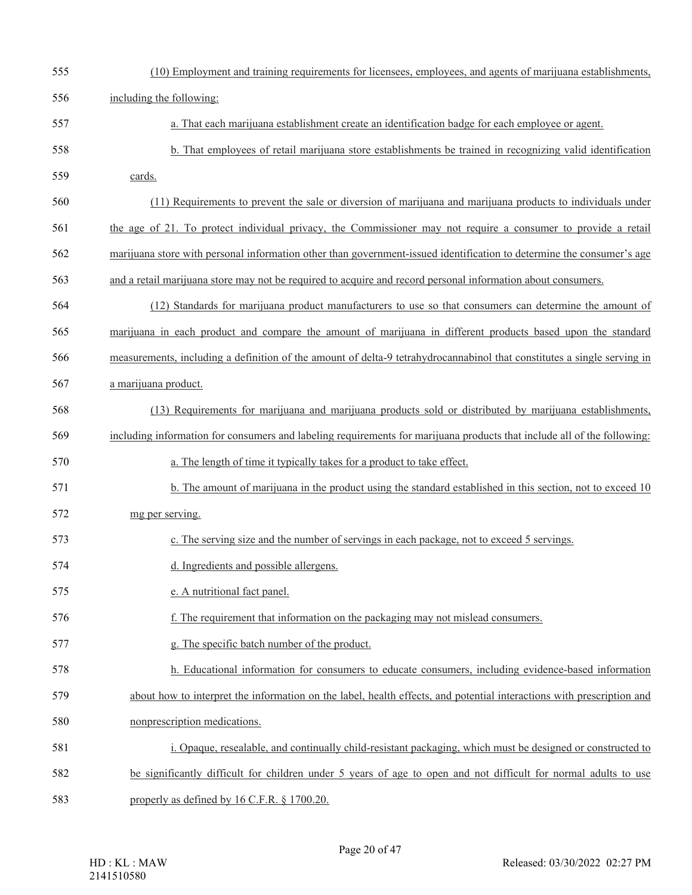| 555 | (10) Employment and training requirements for licensees, employees, and agents of marijuana establishments,             |
|-----|-------------------------------------------------------------------------------------------------------------------------|
| 556 | including the following:                                                                                                |
| 557 | a. That each marijuana establishment create an identification badge for each employee or agent.                         |
| 558 | b. That employees of retail marijuana store establishments be trained in recognizing valid identification               |
| 559 | cards.                                                                                                                  |
| 560 | (11) Requirements to prevent the sale or diversion of marijuana and marijuana products to individuals under             |
| 561 | the age of 21. To protect individual privacy, the Commissioner may not require a consumer to provide a retail           |
| 562 | marijuana store with personal information other than government-issued identification to determine the consumer's age   |
| 563 | and a retail marijuana store may not be required to acquire and record personal information about consumers.            |
| 564 | (12) Standards for marijuana product manufacturers to use so that consumers can determine the amount of                 |
| 565 | marijuana in each product and compare the amount of marijuana in different products based upon the standard             |
| 566 | measurements, including a definition of the amount of delta-9 tetrahydrocannabinol that constitutes a single serving in |
| 567 | a marijuana product.                                                                                                    |
| 568 | (13) Requirements for marijuana and marijuana products sold or distributed by marijuana establishments,                 |
| 569 | including information for consumers and labeling requirements for marijuana products that include all of the following: |
| 570 | a. The length of time it typically takes for a product to take effect.                                                  |
| 571 | b. The amount of marijuana in the product using the standard established in this section, not to exceed 10              |
| 572 | mg per serving.                                                                                                         |
| 573 | c. The serving size and the number of servings in each package, not to exceed 5 servings.                               |
| 574 | d. Ingredients and possible allergens.                                                                                  |
| 575 | e. A nutritional fact panel.                                                                                            |
| 576 | f. The requirement that information on the packaging may not mislead consumers.                                         |
| 577 | g. The specific batch number of the product.                                                                            |
| 578 | h. Educational information for consumers to educate consumers, including evidence-based information                     |
| 579 | about how to interpret the information on the label, health effects, and potential interactions with prescription and   |
| 580 | nonprescription medications.                                                                                            |
| 581 | i. Opaque, resealable, and continually child-resistant packaging, which must be designed or constructed to              |
| 582 | be significantly difficult for children under 5 years of age to open and not difficult for normal adults to use         |
| 583 | properly as defined by 16 C.F.R. § 1700.20.                                                                             |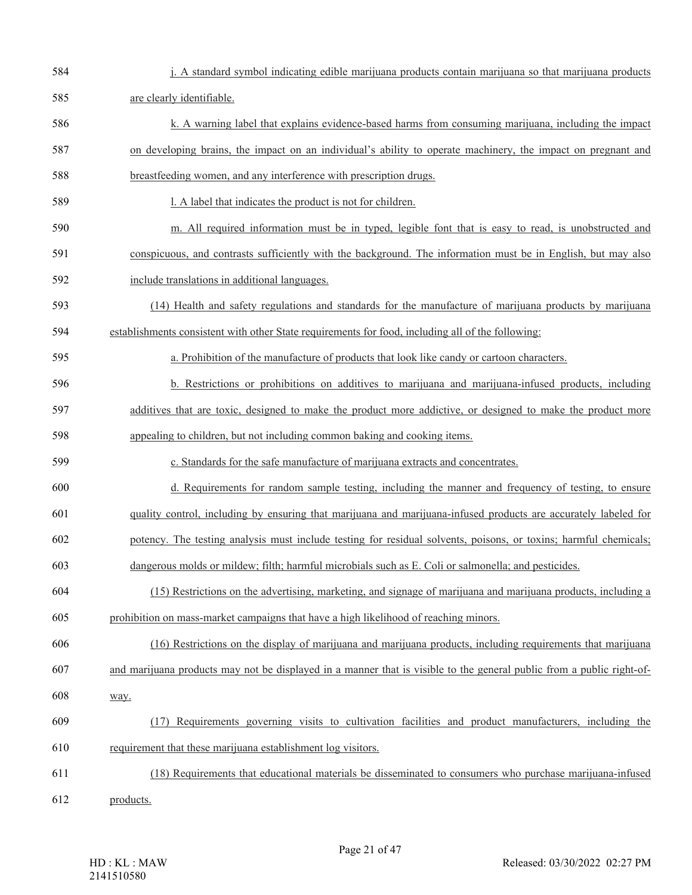| 584 | j. A standard symbol indicating edible marijuana products contain marijuana so that marijuana products                |
|-----|-----------------------------------------------------------------------------------------------------------------------|
| 585 | are clearly identifiable.                                                                                             |
| 586 | k. A warning label that explains evidence-based harms from consuming marijuana, including the impact                  |
| 587 | on developing brains, the impact on an individual's ability to operate machinery, the impact on pregnant and          |
| 588 | breastfeeding women, and any interference with prescription drugs.                                                    |
| 589 | l. A label that indicates the product is not for children.                                                            |
| 590 | m. All required information must be in typed, legible font that is easy to read, is unobstructed and                  |
| 591 | conspicuous, and contrasts sufficiently with the background. The information must be in English, but may also         |
| 592 | include translations in additional languages.                                                                         |
| 593 | (14) Health and safety regulations and standards for the manufacture of marijuana products by marijuana               |
| 594 | establishments consistent with other State requirements for food, including all of the following:                     |
| 595 | a. Prohibition of the manufacture of products that look like candy or cartoon characters.                             |
| 596 | b. Restrictions or prohibitions on additives to marijuana and marijuana-infused products, including                   |
| 597 | additives that are toxic, designed to make the product more addictive, or designed to make the product more           |
| 598 | appealing to children, but not including common baking and cooking items.                                             |
| 599 | c. Standards for the safe manufacture of marijuana extracts and concentrates.                                         |
| 600 | d. Requirements for random sample testing, including the manner and frequency of testing, to ensure                   |
| 601 | quality control, including by ensuring that marijuana and marijuana-infused products are accurately labeled for       |
| 602 | potency. The testing analysis must include testing for residual solvents, poisons, or toxins; harmful chemicals;      |
| 603 | dangerous molds or mildew; filth; harmful microbials such as E. Coli or salmonella; and pesticides.                   |
| 604 | (15) Restrictions on the advertising, marketing, and signage of marijuana and marijuana products, including a         |
| 605 | prohibition on mass-market campaigns that have a high likelihood of reaching minors.                                  |
| 606 | (16) Restrictions on the display of marijuana and marijuana products, including requirements that marijuana           |
| 607 | and marijuana products may not be displayed in a manner that is visible to the general public from a public right-of- |
| 608 | way.                                                                                                                  |
| 609 | (17) Requirements governing visits to cultivation facilities and product manufacturers, including the                 |
| 610 | requirement that these marijuana establishment log visitors.                                                          |
| 611 | (18) Requirements that educational materials be disseminated to consumers who purchase marijuana-infused              |
| 612 | products.                                                                                                             |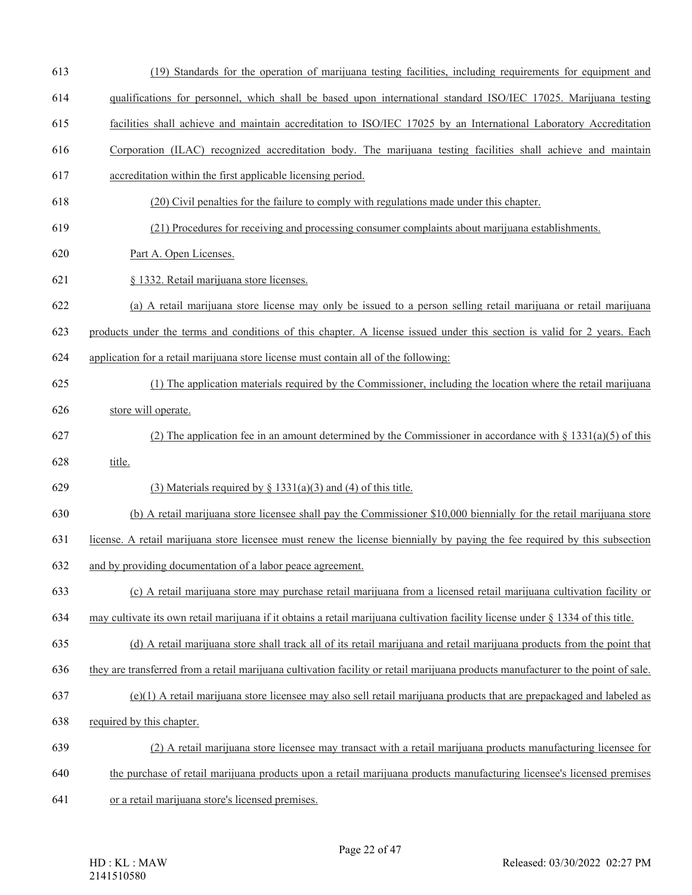- (19) Standards for the operation of marijuana testing facilities, including requirements for equipment and
- qualifications for personnel, which shall be based upon international standard ISO/IEC 17025. Marijuana testing
- facilities shall achieve and maintain accreditation to ISO/IEC 17025 by an International Laboratory Accreditation
- Corporation (ILAC) recognized accreditation body. The marijuana testing facilities shall achieve and maintain
- accreditation within the first applicable licensing period.
- (20) Civil penalties for the failure to comply with regulations made under this chapter.
- (21) Procedures for receiving and processing consumer complaints about marijuana establishments.
- Part A. Open Licenses.
- § 1332. Retail marijuana store licenses.
- (a) A retail marijuana store license may only be issued to a person selling retail marijuana or retail marijuana
- products under the terms and conditions of this chapter. A license issued under this section is valid for 2 years. Each
- application for a retail marijuana store license must contain all of the following:
- (1) The application materials required by the Commissioner, including the location where the retail marijuana
- store will operate.
- 627 (2) The application fee in an amount determined by the Commissioner in accordance with  $\S$  1331(a)(5) of this title.
- 629 (3) Materials required by  $\S$  1331(a)(3) and (4) of this title.
- (b) A retail marijuana store licensee shall pay the Commissioner \$10,000 biennially for the retail marijuana store
- license. A retail marijuana store licensee must renew the license biennially by paying the fee required by this subsection
- and by providing documentation of a labor peace agreement.
- (c) A retail marijuana store may purchase retail marijuana from a licensed retail marijuana cultivation facility or
- may cultivate its own retail marijuana if it obtains a retail marijuana cultivation facility license under § 1334 of this title.
- (d) A retail marijuana store shall track all of its retail marijuana and retail marijuana products from the point that
- they are transferred from a retail marijuana cultivation facility or retail marijuana products manufacturer to the point of sale.
- (e)(1) A retail marijuana store licensee may also sell retail marijuana products that are prepackaged and labeled as
- required by this chapter.
- (2) A retail marijuana store licensee may transact with a retail marijuana products manufacturing licensee for
- the purchase of retail marijuana products upon a retail marijuana products manufacturing licensee's licensed premises
- or a retail marijuana store's licensed premises.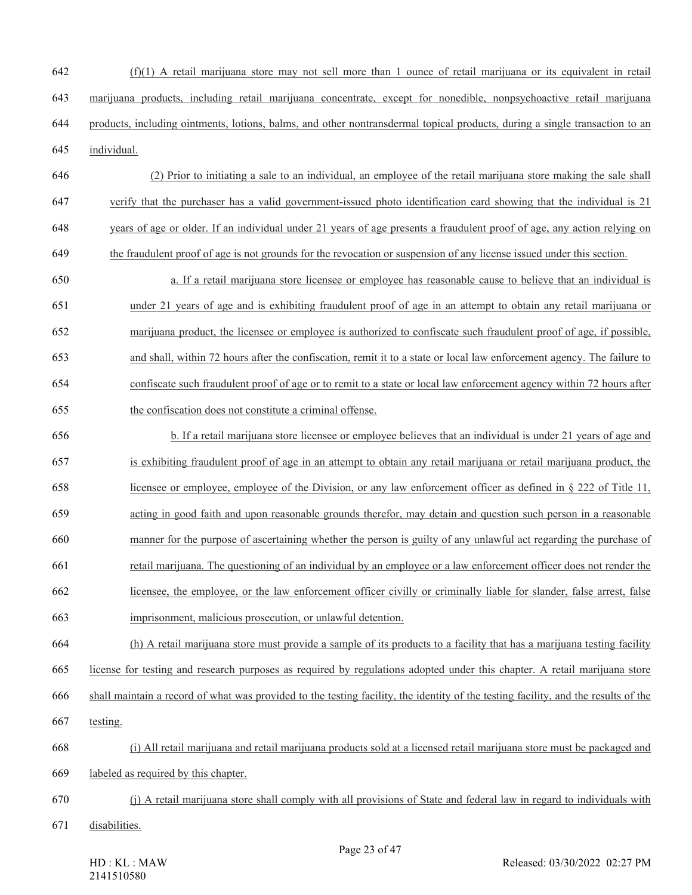- (f)(1) A retail marijuana store may not sell more than 1 ounce of retail marijuana or its equivalent in retail marijuana products, including retail marijuana concentrate, except for nonedible, nonpsychoactive retail marijuana products, including ointments, lotions, balms, and other nontransdermal topical products, during a single transaction to an individual.
- (2) Prior to initiating a sale to an individual, an employee of the retail marijuana store making the sale shall verify that the purchaser has a valid government-issued photo identification card showing that the individual is 21 years of age or older. If an individual under 21 years of age presents a fraudulent proof of age, any action relying on
- the fraudulent proof of age is not grounds for the revocation or suspension of any license issued under this section.
- a. If a retail marijuana store licensee or employee has reasonable cause to believe that an individual is under 21 years of age and is exhibiting fraudulent proof of age in an attempt to obtain any retail marijuana or marijuana product, the licensee or employee is authorized to confiscate such fraudulent proof of age, if possible, and shall, within 72 hours after the confiscation, remit it to a state or local law enforcement agency. The failure to confiscate such fraudulent proof of age or to remit to a state or local law enforcement agency within 72 hours after the confiscation does not constitute a criminal offense.
- b. If a retail marijuana store licensee or employee believes that an individual is under 21 years of age and is exhibiting fraudulent proof of age in an attempt to obtain any retail marijuana or retail marijuana product, the licensee or employee, employee of the Division, or any law enforcement officer as defined in § 222 of Title 11, acting in good faith and upon reasonable grounds therefor, may detain and question such person in a reasonable manner for the purpose of ascertaining whether the person is guilty of any unlawful act regarding the purchase of retail marijuana. The questioning of an individual by an employee or a law enforcement officer does not render the licensee, the employee, or the law enforcement officer civilly or criminally liable for slander, false arrest, false
- imprisonment, malicious prosecution, or unlawful detention.
- (h) A retail marijuana store must provide a sample of its products to a facility that has a marijuana testing facility
- license for testing and research purposes as required by regulations adopted under this chapter. A retail marijuana store
- shall maintain a record of what was provided to the testing facility, the identity of the testing facility, and the results of the
- testing.
- (i) All retail marijuana and retail marijuana products sold at a licensed retail marijuana store must be packaged and
- labeled as required by this chapter.
- (j) A retail marijuana store shall comply with all provisions of State and federal law in regard to individuals with
- disabilities.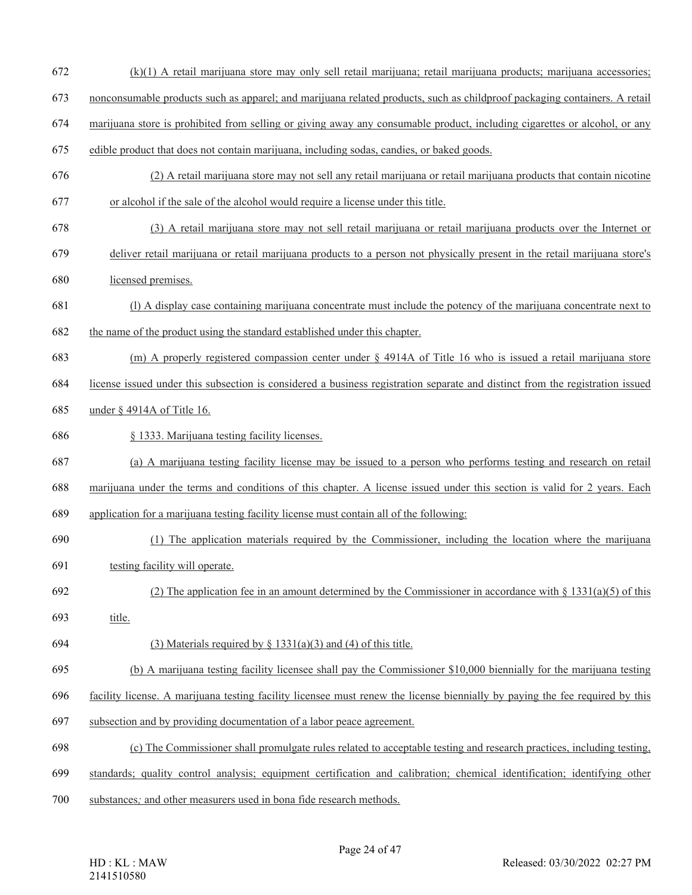- (k)(1) A retail marijuana store may only sell retail marijuana; retail marijuana products; marijuana accessories;
- nonconsumable products such as apparel; and marijuana related products, such as childproof packaging containers. A retail
- marijuana store is prohibited from selling or giving away any consumable product, including cigarettes or alcohol, or any
- edible product that does not contain marijuana, including sodas, candies, or baked goods.
- (2) A retail marijuana store may not sell any retail marijuana or retail marijuana products that contain nicotine or alcohol if the sale of the alcohol would require a license under this title.
- (3) A retail marijuana store may not sell retail marijuana or retail marijuana products over the Internet or
- deliver retail marijuana or retail marijuana products to a person not physically present in the retail marijuana store's
- licensed premises.
- (l) A display case containing marijuana concentrate must include the potency of the marijuana concentrate next to the name of the product using the standard established under this chapter.
- (m) A properly registered compassion center under § 4914A of Title 16 who is issued a retail marijuana store
- license issued under this subsection is considered a business registration separate and distinct from the registration issued
- under § 4914A of Title 16.
- § 1333. Marijuana testing facility licenses.
- (a) A marijuana testing facility license may be issued to a person who performs testing and research on retail
- marijuana under the terms and conditions of this chapter. A license issued under this section is valid for 2 years. Each
- application for a marijuana testing facility license must contain all of the following:
- (1) The application materials required by the Commissioner, including the location where the marijuana
- testing facility will operate.
- 692 (2) The application fee in an amount determined by the Commissioner in accordance with  $\S$  1331(a)(5) of this
- title.
- 694 (3) Materials required by  $\S$  1331(a)(3) and (4) of this title.
- (b) A marijuana testing facility licensee shall pay the Commissioner \$10,000 biennially for the marijuana testing
- facility license. A marijuana testing facility licensee must renew the license biennially by paying the fee required by this
- subsection and by providing documentation of a labor peace agreement.
- (c) The Commissioner shall promulgate rules related to acceptable testing and research practices, including testing,
- standards; quality control analysis; equipment certification and calibration; chemical identification; identifying other
- substances*;* and other measurers used in bona fide research methods.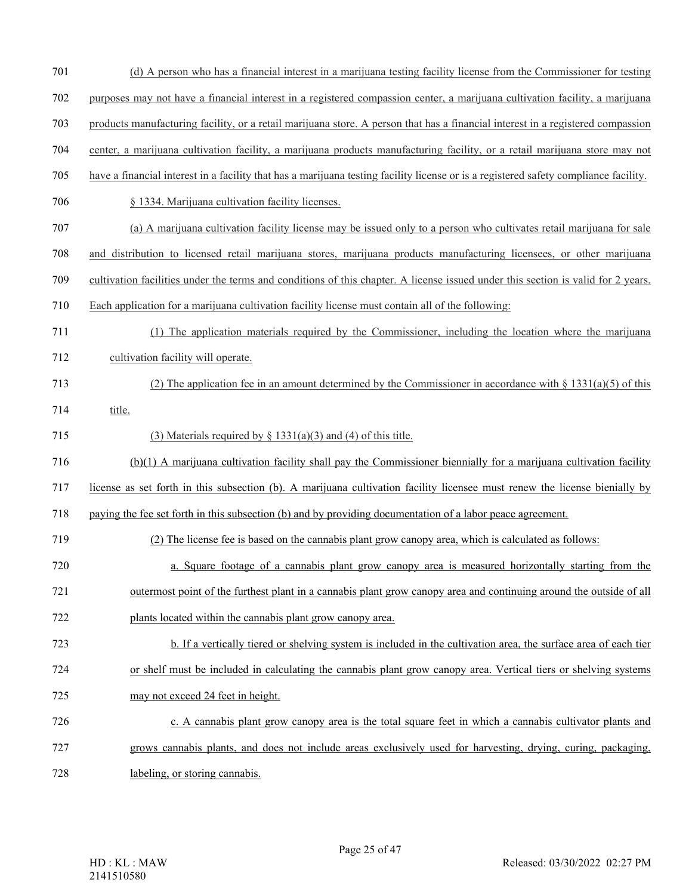- 701 (d) A person who has a financial interest in a marijuana testing facility license from the Commissioner for testing
- 702 purposes may not have a financial interest in a registered compassion center, a marijuana cultivation facility, a marijuana
- 703 products manufacturing facility, or a retail marijuana store. A person that has a financial interest in a registered compassion
- 704 center, a marijuana cultivation facility, a marijuana products manufacturing facility, or a retail marijuana store may not
- 705 have a financial interest in a facility that has a marijuana testing facility license or is a registered safety compliance facility.
- 706 § 1334. Marijuana cultivation facility licenses.
- 707 (a) A marijuana cultivation facility license may be issued only to a person who cultivates retail marijuana for sale
- 708 and distribution to licensed retail marijuana stores, marijuana products manufacturing licensees, or other marijuana
- 709 cultivation facilities under the terms and conditions of this chapter. A license issued under this section is valid for 2 years.
- 710 Each application for a marijuana cultivation facility license must contain all of the following:
- 711 (1) The application materials required by the Commissioner, including the location where the marijuana 712 cultivation facility will operate.
- 713 (2) The application fee in an amount determined by the Commissioner in accordance with § 1331(a)(5) of this 714 title.
- 
- 715 (3) Materials required by  $\S$  1331(a)(3) and (4) of this title.
- 716 (b)(1) A marijuana cultivation facility shall pay the Commissioner biennially for a marijuana cultivation facility
- 717 license as set forth in this subsection (b). A marijuana cultivation facility licensee must renew the license bienially by
- 718 paying the fee set forth in this subsection (b) and by providing documentation of a labor peace agreement.
- 719 (2) The license fee is based on the cannabis plant grow canopy area, which is calculated as follows:
- 720 a. Square footage of a cannabis plant grow canopy area is measured horizontally starting from the 721 outermost point of the furthest plant in a cannabis plant grow canopy area and continuing around the outside of all
- 722 plants located within the cannabis plant grow canopy area.
- 723 b. If a vertically tiered or shelving system is included in the cultivation area, the surface area of each tier 724 or shelf must be included in calculating the cannabis plant grow canopy area. Vertical tiers or shelving systems
- 725 may not exceed 24 feet in height.
- 726 c. A cannabis plant grow canopy area is the total square feet in which a cannabis cultivator plants and
- 727 grows cannabis plants, and does not include areas exclusively used for harvesting, drying, curing, packaging,
- 728 labeling, or storing cannabis.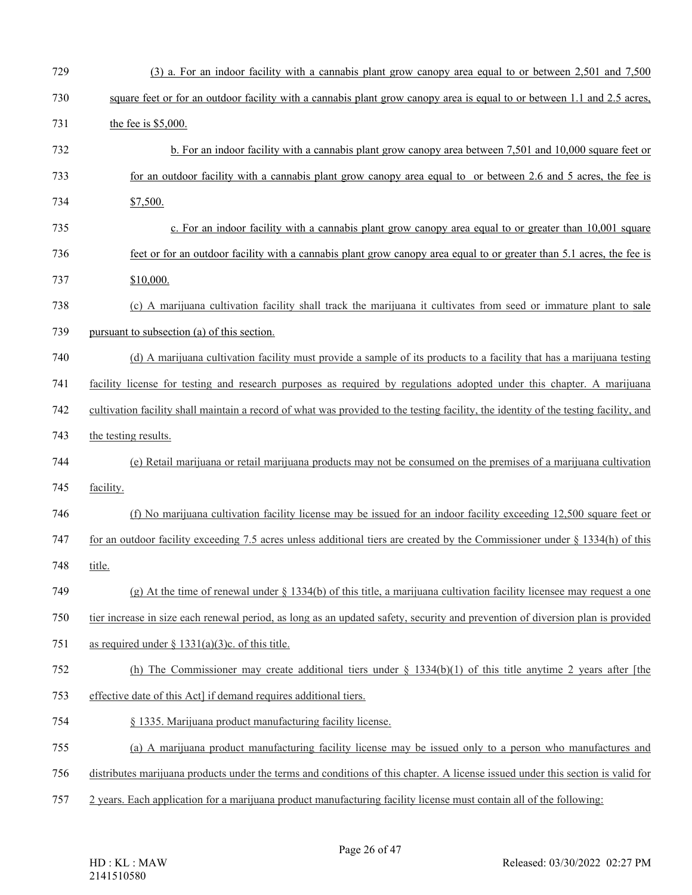| 729 | (3) a. For an indoor facility with a cannabis plant grow canopy area equal to or between 2,501 and 7,500                             |
|-----|--------------------------------------------------------------------------------------------------------------------------------------|
| 730 | square feet or for an outdoor facility with a cannabis plant grow canopy area is equal to or between 1.1 and 2.5 acres,              |
| 731 | the fee is $$5,000$ .                                                                                                                |
| 732 | b. For an indoor facility with a cannabis plant grow can opy area between 7,501 and 10,000 square feet or                            |
| 733 | for an outdoor facility with a cannabis plant grow can opy area equal to or between 2.6 and 5 acres, the fee is                      |
| 734 | \$7,500.                                                                                                                             |
| 735 | c. For an indoor facility with a cannabis plant grow can opy area equal to or greater than 10,001 square                             |
| 736 | feet or for an outdoor facility with a cannabis plant grow canopy area equal to or greater than 5.1 acres, the fee is                |
| 737 | \$10,000.                                                                                                                            |
| 738 | (c) A marijuana cultivation facility shall track the marijuana it cultivates from seed or immature plant to sale                     |
| 739 | pursuant to subsection (a) of this section.                                                                                          |
| 740 | (d) A marijuana cultivation facility must provide a sample of its products to a facility that has a marijuana testing                |
| 741 | facility license for testing and research purposes as required by regulations adopted under this chapter. A marijuana                |
| 742 | cultivation facility shall maintain a record of what was provided to the testing facility, the identity of the testing facility, and |
| 743 | the testing results.                                                                                                                 |
| 744 | (e) Retail marijuana or retail marijuana products may not be consumed on the premises of a marijuana cultivation                     |
| 745 | facility.                                                                                                                            |
| 746 | (f) No marijuana cultivation facility license may be issued for an indoor facility exceeding 12,500 square feet or                   |
| 747 | for an outdoor facility exceeding 7.5 acres unless additional tiers are created by the Commissioner under $\S$ 1334(h) of this       |
| 748 | title.                                                                                                                               |
| 749 | (g) At the time of renewal under $\S$ 1334(b) of this title, a marijuana cultivation facility licensee may request a one             |
| 750 | tier increase in size each renewal period, as long as an updated safety, security and prevention of diversion plan is provided       |
| 751 | as required under $\S$ 1331(a)(3)c. of this title.                                                                                   |
| 752 | (h) The Commissioner may create additional tiers under $\S$ 1334(b)(1) of this title anytime 2 years after [the                      |
| 753 | effective date of this Act] if demand requires additional tiers.                                                                     |
| 754 | § 1335. Marijuana product manufacturing facility license.                                                                            |
| 755 | (a) A marijuana product manufacturing facility license may be issued only to a person who manufactures and                           |
| 756 | distributes marijuana products under the terms and conditions of this chapter. A license issued under this section is valid for      |
| 757 | 2 years. Each application for a marijuana product manufacturing facility license must contain all of the following:                  |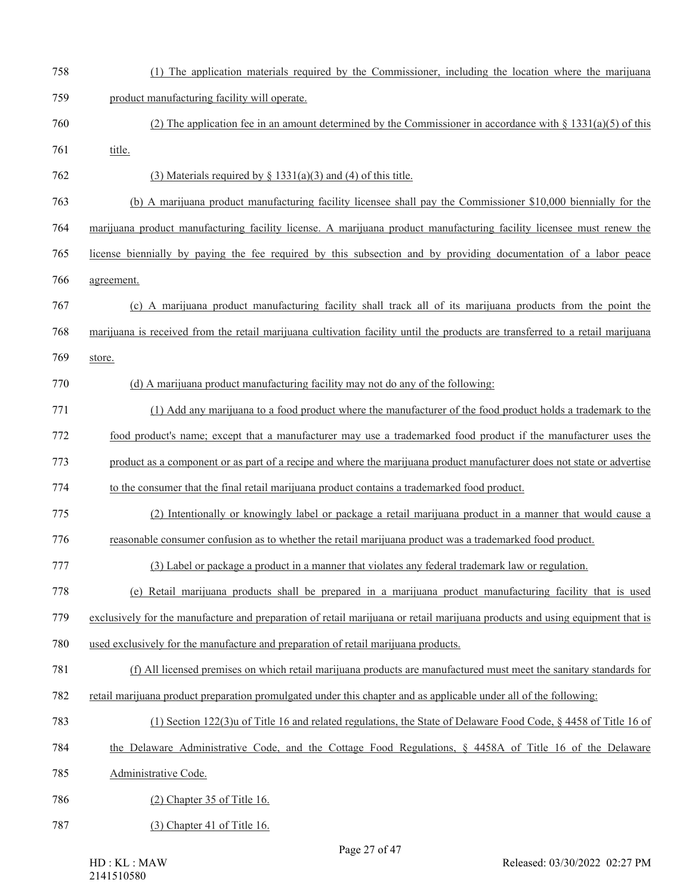| 758 | (1) The application materials required by the Commissioner, including the location where the marijuana                        |
|-----|-------------------------------------------------------------------------------------------------------------------------------|
| 759 | product manufacturing facility will operate.                                                                                  |
| 760 | (2) The application fee in an amount determined by the Commissioner in accordance with $\S$ 1331(a)(5) of this                |
| 761 | title.                                                                                                                        |
| 762 | (3) Materials required by $\S$ 1331(a)(3) and (4) of this title.                                                              |
| 763 | (b) A marijuana product manufacturing facility licensee shall pay the Commissioner \$10,000 biennially for the                |
| 764 | marijuana product manufacturing facility license. A marijuana product manufacturing facility licensee must renew the          |
| 765 | license biennially by paying the fee required by this subsection and by providing documentation of a labor peace              |
| 766 | agreement.                                                                                                                    |
| 767 | (c) A marijuana product manufacturing facility shall track all of its marijuana products from the point the                   |
| 768 | marijuana is received from the retail marijuana cultivation facility until the products are transferred to a retail marijuana |
| 769 | store.                                                                                                                        |
| 770 | (d) A marijuana product manufacturing facility may not do any of the following:                                               |
| 771 | (1) Add any marijuana to a food product where the manufacturer of the food product holds a trademark to the                   |
| 772 | food product's name; except that a manufacturer may use a trademarked food product if the manufacturer uses the               |
| 773 | product as a component or as part of a recipe and where the marijuana product manufacturer does not state or advertise        |
| 774 | to the consumer that the final retail marijuana product contains a trademarked food product.                                  |
| 775 | (2) Intentionally or knowingly label or package a retail marijuana product in a manner that would cause a                     |
| 776 | reasonable consumer confusion as to whether the retail marijuana product was a trademarked food product.                      |
| 777 | (3) Label or package a product in a manner that violates any federal trademark law or regulation.                             |
| 778 | (e) Retail marijuana products shall be prepared in a marijuana product manufacturing facility that is used                    |
| 779 | exclusively for the manufacture and preparation of retail marijuana or retail marijuana products and using equipment that is  |
| 780 | used exclusively for the manufacture and preparation of retail marijuana products.                                            |
| 781 | (f) All licensed premises on which retail marijuana products are manufactured must meet the sanitary standards for            |
| 782 | retail marijuana product preparation promulgated under this chapter and as applicable under all of the following:             |
| 783 | (1) Section $122(3)$ u of Title 16 and related regulations, the State of Delaware Food Code, § 4458 of Title 16 of            |
| 784 | the Delaware Administrative Code, and the Cottage Food Regulations, § 4458A of Title 16 of the Delaware                       |
| 785 | Administrative Code.                                                                                                          |
| 786 | $(2)$ Chapter 35 of Title 16.                                                                                                 |
| 787 | (3) Chapter 41 of Title 16.                                                                                                   |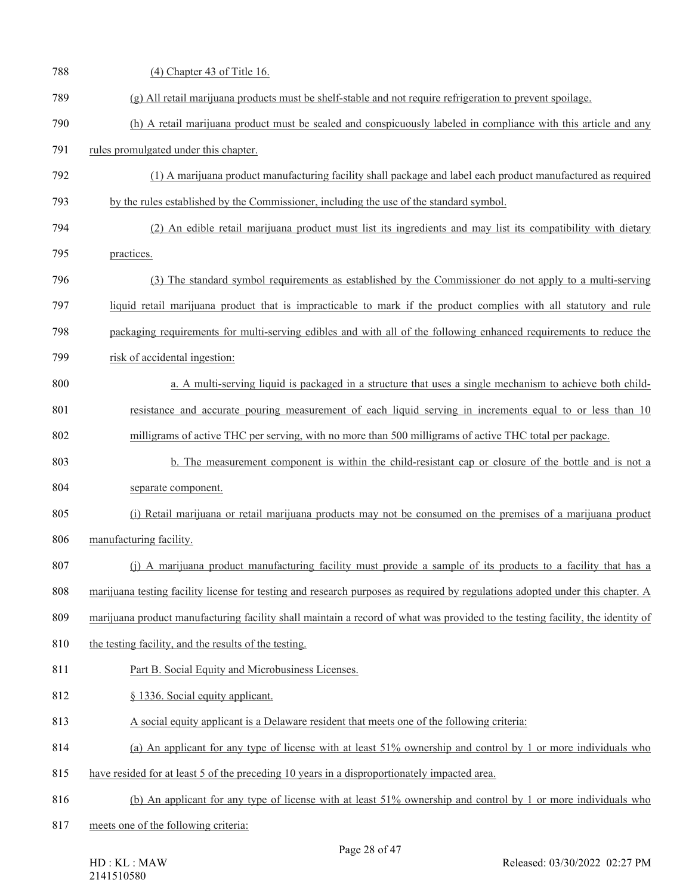| 788 | (4) Chapter 43 of Title 16.                                                                                                    |
|-----|--------------------------------------------------------------------------------------------------------------------------------|
| 789 | (g) All retail marijuana products must be shelf-stable and not require refrigeration to prevent spoilage.                      |
| 790 | (h) A retail marijuana product must be sealed and conspicuously labeled in compliance with this article and any                |
| 791 | rules promulgated under this chapter.                                                                                          |
| 792 | (1) A marijuana product manufacturing facility shall package and label each product manufactured as required                   |
| 793 | by the rules established by the Commissioner, including the use of the standard symbol.                                        |
| 794 | (2) An edible retail marijuana product must list its ingredients and may list its compatibility with dietary                   |
| 795 | practices.                                                                                                                     |
| 796 | (3) The standard symbol requirements as established by the Commissioner do not apply to a multi-serving                        |
| 797 | liquid retail marijuana product that is impracticable to mark if the product complies with all statutory and rule              |
| 798 | packaging requirements for multi-serving edibles and with all of the following enhanced requirements to reduce the             |
| 799 | risk of accidental ingestion:                                                                                                  |
| 800 | a. A multi-serving liquid is packaged in a structure that uses a single mechanism to achieve both child-                       |
| 801 | resistance and accurate pouring measurement of each liquid serving in increments equal to or less than 10                      |
| 802 | milligrams of active THC per serving, with no more than 500 milligrams of active THC total per package.                        |
| 803 | b. The measurement component is within the child-resistant cap or closure of the bottle and is not a                           |
| 804 | separate component.                                                                                                            |
| 805 | (i) Retail marijuana or retail marijuana products may not be consumed on the premises of a marijuana product                   |
| 806 | manufacturing facility.                                                                                                        |
| 807 | (j) A marijuana product manufacturing facility must provide a sample of its products to a facility that has a                  |
| 808 | marijuana testing facility license for testing and research purposes as required by regulations adopted under this chapter. A  |
| 809 | marijuana product manufacturing facility shall maintain a record of what was provided to the testing facility, the identity of |
| 810 | the testing facility, and the results of the testing.                                                                          |
| 811 | Part B. Social Equity and Microbusiness Licenses.                                                                              |
| 812 | § 1336. Social equity applicant.                                                                                               |
| 813 | A social equity applicant is a Delaware resident that meets one of the following criteria:                                     |
| 814 | (a) An applicant for any type of license with at least 51% ownership and control by 1 or more individuals who                  |
| 815 | have resided for at least 5 of the preceding 10 years in a disproportionately impacted area.                                   |
| 816 | (b) An applicant for any type of license with at least 51% ownership and control by 1 or more individuals who                  |
| 817 | meets one of the following criteria:                                                                                           |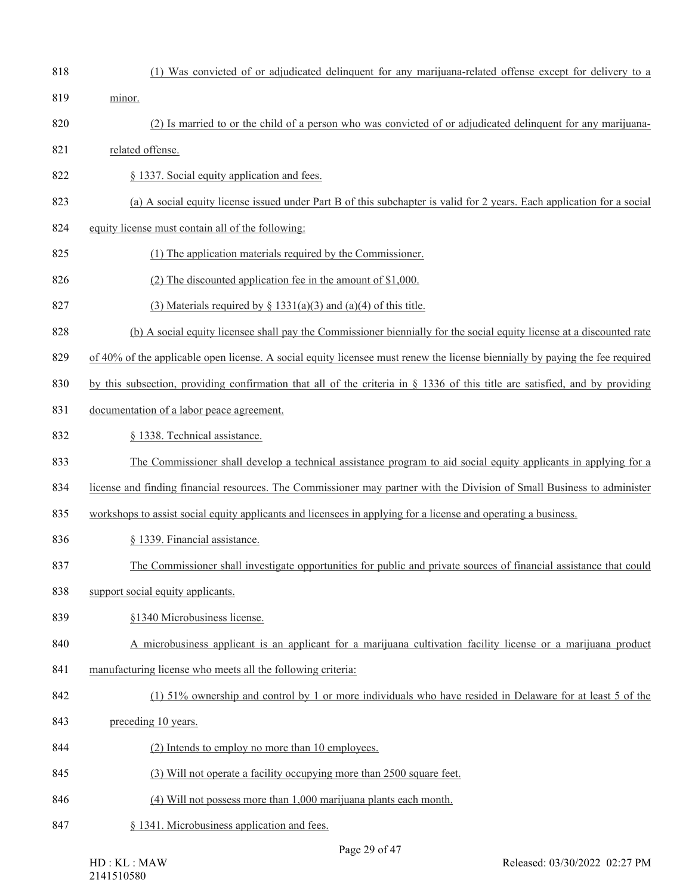- (1) Was convicted of or adjudicated delinquent for any marijuana-related offense except for delivery to a minor. 820 (2) Is married to or the child of a person who was convicted of or adjudicated delinquent for any marijuana- related offense. § 1337. Social equity application and fees. (a) A social equity license issued under Part B of this subchapter is valid for 2 years. Each application for a social equity license must contain all of the following:
	- (1) The application materials required by the Commissioner.
	- (2) The discounted application fee in the amount of \$1,000.
	- 827 (3) Materials required by  $\S$  1331(a)(3) and (a)(4) of this title.
	- (b) A social equity licensee shall pay the Commissioner biennially for the social equity license at a discounted rate
	- of 40% of the applicable open license. A social equity licensee must renew the license biennially by paying the fee required
	- by this subsection, providing confirmation that all of the criteria in § 1336 of this title are satisfied, and by providing
	- documentation of a labor peace agreement.
	- 832 § 1338. Technical assistance.
	- The Commissioner shall develop a technical assistance program to aid social equity applicants in applying for a
	- license and finding financial resources. The Commissioner may partner with the Division of Small Business to administer
	- workshops to assist social equity applicants and licensees in applying for a license and operating a business.
	- 836 § 1339. Financial assistance.
	- The Commissioner shall investigate opportunities for public and private sources of financial assistance that could
	- support social equity applicants.
	- §1340 Microbusiness license.
	- A microbusiness applicant is an applicant for a marijuana cultivation facility license or a marijuana product
	- 841 manufacturing license who meets all the following criteria:
	- (1) 51% ownership and control by 1 or more individuals who have resided in Delaware for at least 5 of the
	- preceding 10 years.
	- (2) Intends to employ no more than 10 employees.
	- 845 (3) Will not operate a facility occupying more than 2500 square feet.
	- (4) Will not possess more than 1,000 marijuana plants each month.
	- § 1341. Microbusiness application and fees.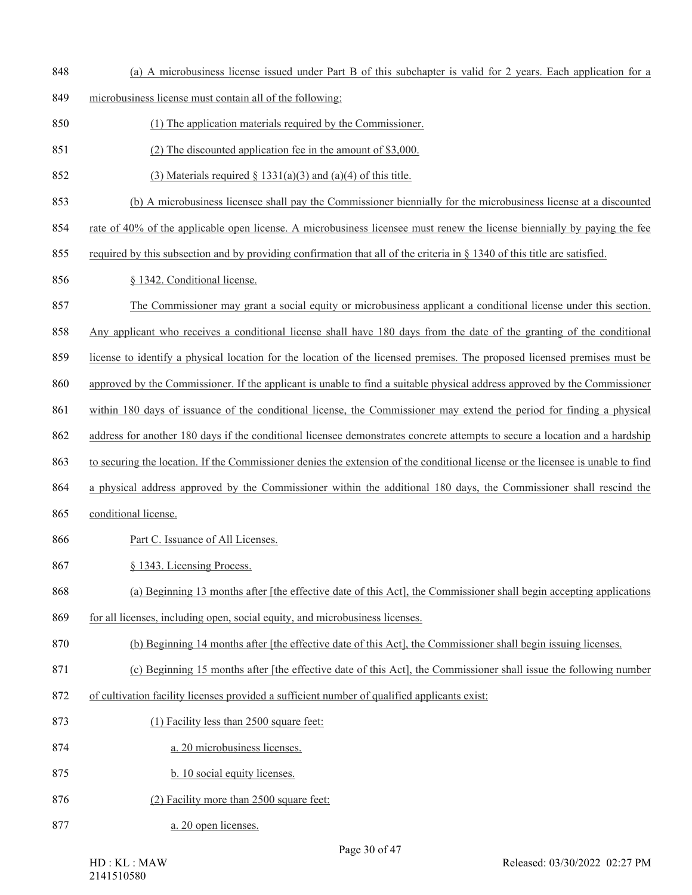- (a) A microbusiness license issued under Part B of this subchapter is valid for 2 years. Each application for a
- microbusiness license must contain all of the following:
- (1) The application materials required by the Commissioner.
- (2) The discounted application fee in the amount of \$3,000.
- 852 (3) Materials required  $\frac{8}{3}$  1331(a)(3) and (a)(4) of this title.
- (b) A microbusiness licensee shall pay the Commissioner biennially for the microbusiness license at a discounted
- rate of 40% of the applicable open license. A microbusiness licensee must renew the license biennially by paying the fee
- 855 required by this subsection and by providing confirmation that all of the criteria in  $\S$  1340 of this title are satisfied.
- § 1342. Conditional license.
- The Commissioner may grant a social equity or microbusiness applicant a conditional license under this section.
- Any applicant who receives a conditional license shall have 180 days from the date of the granting of the conditional
- license to identify a physical location for the location of the licensed premises. The proposed licensed premises must be
- approved by the Commissioner. If the applicant is unable to find a suitable physical address approved by the Commissioner
- within 180 days of issuance of the conditional license, the Commissioner may extend the period for finding a physical
- address for another 180 days if the conditional licensee demonstrates concrete attempts to secure a location and a hardship
- to securing the location. If the Commissioner denies the extension of the conditional license or the licensee is unable to find
- a physical address approved by the Commissioner within the additional 180 days, the Commissioner shall rescind the
- conditional license.
- 866 Part C. Issuance of All Licenses.
- § 1343. Licensing Process.
- (a) Beginning 13 months after [the effective date of this Act], the Commissioner shall begin accepting applications
- for all licenses, including open, social equity, and microbusiness licenses.
- (b) Beginning 14 months after [the effective date of this Act], the Commissioner shall begin issuing licenses.
- (c) Beginning 15 months after [the effective date of this Act], the Commissioner shall issue the following number
- of cultivation facility licenses provided a sufficient number of qualified applicants exist:
- (1) Facility less than 2500 square feet:
- a. 20 microbusiness licenses.
- 875 b. 10 social equity licenses.
- 876 (2) Facility more than 2500 square feet:
- a. 20 open licenses.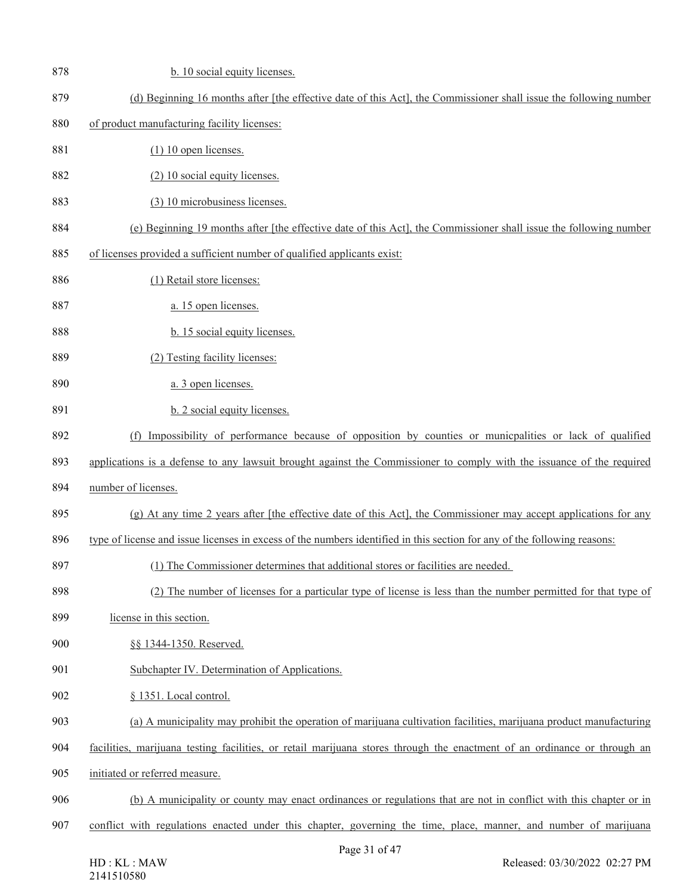| 878 | b. 10 social equity licenses.                                                                                            |
|-----|--------------------------------------------------------------------------------------------------------------------------|
| 879 | (d) Beginning 16 months after [the effective date of this Act], the Commissioner shall issue the following number        |
| 880 | of product manufacturing facility licenses:                                                                              |
| 881 | $(1)$ 10 open licenses.                                                                                                  |
| 882 | (2) 10 social equity licenses.                                                                                           |
| 883 | (3) 10 microbusiness licenses.                                                                                           |
| 884 | (e) Beginning 19 months after [the effective date of this Act], the Commissioner shall issue the following number        |
| 885 | of licenses provided a sufficient number of qualified applicants exist:                                                  |
| 886 | (1) Retail store licenses:                                                                                               |
| 887 | a. 15 open licenses.                                                                                                     |
| 888 | b. 15 social equity licenses.                                                                                            |
| 889 | (2) Testing facility licenses:                                                                                           |
| 890 | a. 3 open licenses.                                                                                                      |
| 891 | b. 2 social equity licenses.                                                                                             |
| 892 | (f) Impossibility of performance because of opposition by counties or municpalities or lack of qualified                 |
| 893 | applications is a defense to any lawsuit brought against the Commissioner to comply with the issuance of the required    |
| 894 | number of licenses.                                                                                                      |
| 895 | (g) At any time 2 years after [the effective date of this Act], the Commissioner may accept applications for any         |
| 896 | type of license and issue licenses in excess of the numbers identified in this section for any of the following reasons: |
| 897 | (1) The Commissioner determines that additional stores or facilities are needed.                                         |
| 898 | (2) The number of licenses for a particular type of license is less than the number permitted for that type of           |
| 899 | license in this section.                                                                                                 |
| 900 | §§ 1344-1350. Reserved.                                                                                                  |
| 901 | Subchapter IV. Determination of Applications.                                                                            |
| 902 | § 1351. Local control.                                                                                                   |
| 903 | (a) A municipality may prohibit the operation of marijuana cultivation facilities, marijuana product manufacturing       |
| 904 | facilities, marijuana testing facilities, or retail marijuana stores through the enactment of an ordinance or through an |
| 905 | initiated or referred measure.                                                                                           |
| 906 | (b) A municipality or county may enact ordinances or regulations that are not in conflict with this chapter or in        |
| 907 | conflict with regulations enacted under this chapter, governing the time, place, manner, and number of marijuana         |
|     | $\mathcal{L}$ $\Lambda$ $\mathcal{L}$<br>21                                                                              |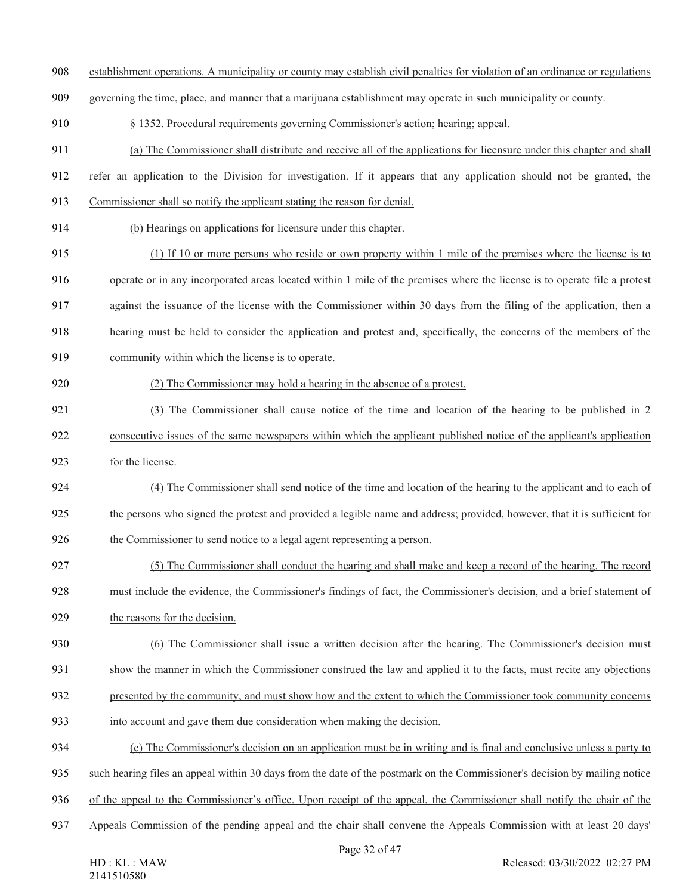- establishment operations. A municipality or county may establish civil penalties for violation of an ordinance or regulations
- governing the time, place, and manner that a marijuana establishment may operate in such municipality or county.
- § 1352. Procedural requirements governing Commissioner's action; hearing; appeal.
- (a) The Commissioner shall distribute and receive all of the applications for licensure under this chapter and shall
- refer an application to the Division for investigation. If it appears that any application should not be granted, the
- Commissioner shall so notify the applicant stating the reason for denial.
- (b) Hearings on applications for licensure under this chapter.
- (1) If 10 or more persons who reside or own property within 1 mile of the premises where the license is to
- operate or in any incorporated areas located within 1 mile of the premises where the license is to operate file a protest
- against the issuance of the license with the Commissioner within 30 days from the filing of the application, then a
- hearing must be held to consider the application and protest and, specifically, the concerns of the members of the
- community within which the license is to operate.
- (2) The Commissioner may hold a hearing in the absence of a protest.
- (3) The Commissioner shall cause notice of the time and location of the hearing to be published in 2 922 consecutive issues of the same newspapers within which the applicant published notice of the applicant's application
- for the license.
- (4) The Commissioner shall send notice of the time and location of the hearing to the applicant and to each of the persons who signed the protest and provided a legible name and address; provided, however, that it is sufficient for
- the Commissioner to send notice to a legal agent representing a person.
- (5) The Commissioner shall conduct the hearing and shall make and keep a record of the hearing. The record
- must include the evidence, the Commissioner's findings of fact, the Commissioner's decision, and a brief statement of
- the reasons for the decision.
- (6) The Commissioner shall issue a written decision after the hearing. The Commissioner's decision must
- 931 show the manner in which the Commissioner construed the law and applied it to the facts, must recite any objections
- presented by the community, and must show how and the extent to which the Commissioner took community concerns
- into account and gave them due consideration when making the decision.
- (c) The Commissioner's decision on an application must be in writing and is final and conclusive unless a party to
- such hearing files an appeal within 30 days from the date of the postmark on the Commissioner's decision by mailing notice
- of the appeal to the Commissioner's office. Upon receipt of the appeal, the Commissioner shall notify the chair of the
- Appeals Commission of the pending appeal and the chair shall convene the Appeals Commission with at least 20 days'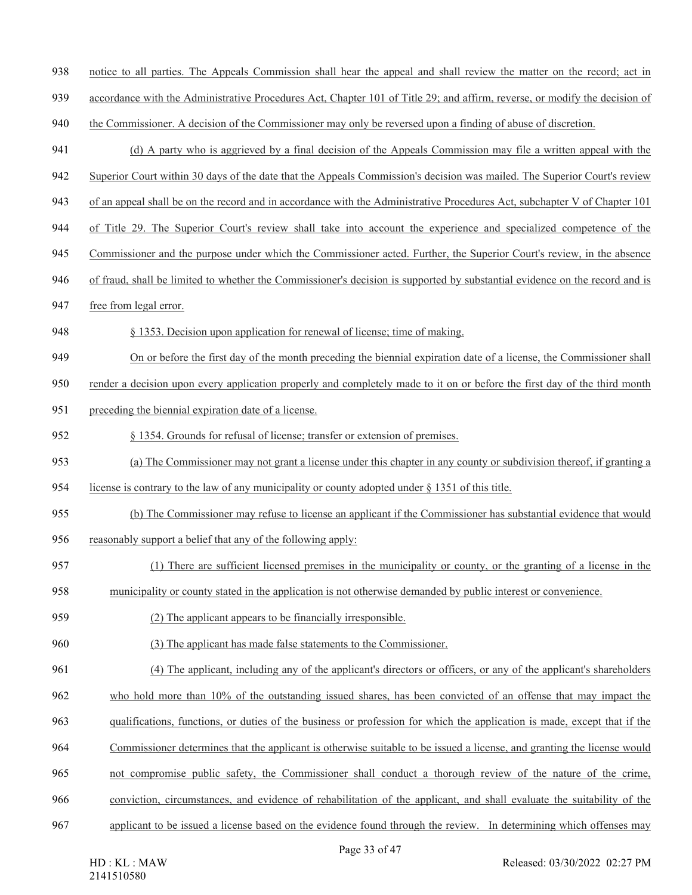- notice to all parties. The Appeals Commission shall hear the appeal and shall review the matter on the record; act in
- accordance with the Administrative Procedures Act, Chapter 101 of Title 29; and affirm, reverse, or modify the decision of
- 940 the Commissioner. A decision of the Commissioner may only be reversed upon a finding of abuse of discretion.
- (d) A party who is aggrieved by a final decision of the Appeals Commission may file a written appeal with the
- Superior Court within 30 days of the date that the Appeals Commission's decision was mailed. The Superior Court's review
- of an appeal shall be on the record and in accordance with the Administrative Procedures Act, subchapter V of Chapter 101
- of Title 29. The Superior Court's review shall take into account the experience and specialized competence of the
- Commissioner and the purpose under which the Commissioner acted. Further, the Superior Court's review, in the absence
- of fraud, shall be limited to whether the Commissioner's decision is supported by substantial evidence on the record and is
- free from legal error.
- § 1353. Decision upon application for renewal of license; time of making.
- On or before the first day of the month preceding the biennial expiration date of a license, the Commissioner shall
- render a decision upon every application properly and completely made to it on or before the first day of the third month
- preceding the biennial expiration date of a license.
- § 1354. Grounds for refusal of license; transfer or extension of premises.
- (a) The Commissioner may not grant a license under this chapter in any county or subdivision thereof, if granting a
- license is contrary to the law of any municipality or county adopted under § 1351 of this title.
- (b) The Commissioner may refuse to license an applicant if the Commissioner has substantial evidence that would reasonably support a belief that any of the following apply:
- 
- (1) There are sufficient licensed premises in the municipality or county, or the granting of a license in the
- municipality or county stated in the application is not otherwise demanded by public interest or convenience.
- (2) The applicant appears to be financially irresponsible.
- (3) The applicant has made false statements to the Commissioner.
- (4) The applicant, including any of the applicant's directors or officers, or any of the applicant's shareholders
- who hold more than 10% of the outstanding issued shares, has been convicted of an offense that may impact the
- qualifications, functions, or duties of the business or profession for which the application is made, except that if the
- Commissioner determines that the applicant is otherwise suitable to be issued a license, and granting the license would
- not compromise public safety, the Commissioner shall conduct a thorough review of the nature of the crime,
- conviction, circumstances, and evidence of rehabilitation of the applicant, and shall evaluate the suitability of the
- applicant to be issued a license based on the evidence found through the review. In determining which offenses may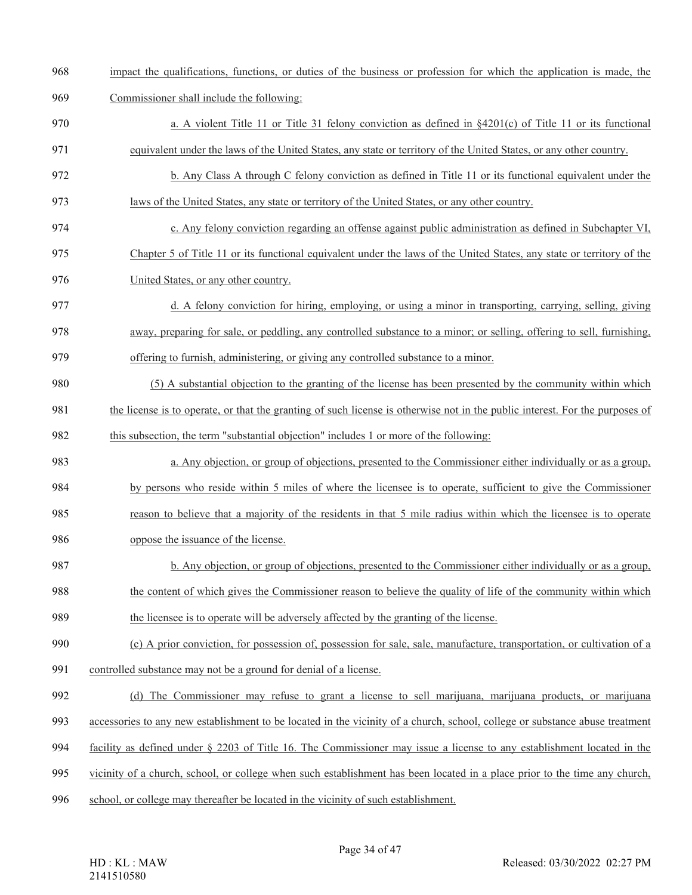- impact the qualifications, functions, or duties of the business or profession for which the application is made, the
- Commissioner shall include the following:
- 970 a. A violent Title 11 or Title 31 felony conviction as defined in §4201(c) of Title 11 or its functional
- equivalent under the laws of the United States, any state or territory of the United States, or any other country.
- b. Any Class A through C felony conviction as defined in Title 11 or its functional equivalent under the laws of the United States, any state or territory of the United States, or any other country.
- c. Any felony conviction regarding an offense against public administration as defined in Subchapter VI,
- Chapter 5 of Title 11 or its functional equivalent under the laws of the United States, any state or territory of the United States, or any other country.
- d. A felony conviction for hiring, employing, or using a minor in transporting, carrying, selling, giving away, preparing for sale, or peddling, any controlled substance to a minor; or selling, offering to sell, furnishing, offering to furnish, administering, or giving any controlled substance to a minor.
- (5) A substantial objection to the granting of the license has been presented by the community within which 981 the license is to operate, or that the granting of such license is otherwise not in the public interest. For the purposes of this subsection, the term "substantial objection" includes 1 or more of the following:
- a. Any objection, or group of objections, presented to the Commissioner either individually or as a group, by persons who reside within 5 miles of where the licensee is to operate, sufficient to give the Commissioner reason to believe that a majority of the residents in that 5 mile radius within which the licensee is to operate
- 
- oppose the issuance of the license.
- b. Any objection, or group of objections, presented to the Commissioner either individually or as a group, the content of which gives the Commissioner reason to believe the quality of life of the community within which
- the licensee is to operate will be adversely affected by the granting of the license.
- (c) A prior conviction, for possession of, possession for sale, sale, manufacture, transportation, or cultivation of a
- controlled substance may not be a ground for denial of a license.
- (d) The Commissioner may refuse to grant a license to sell marijuana, marijuana products, or marijuana
- accessories to any new establishment to be located in the vicinity of a church, school, college or substance abuse treatment
- facility as defined under § 2203 of Title 16. The Commissioner may issue a license to any establishment located in the
- vicinity of a church, school, or college when such establishment has been located in a place prior to the time any church,
- school, or college may thereafter be located in the vicinity of such establishment.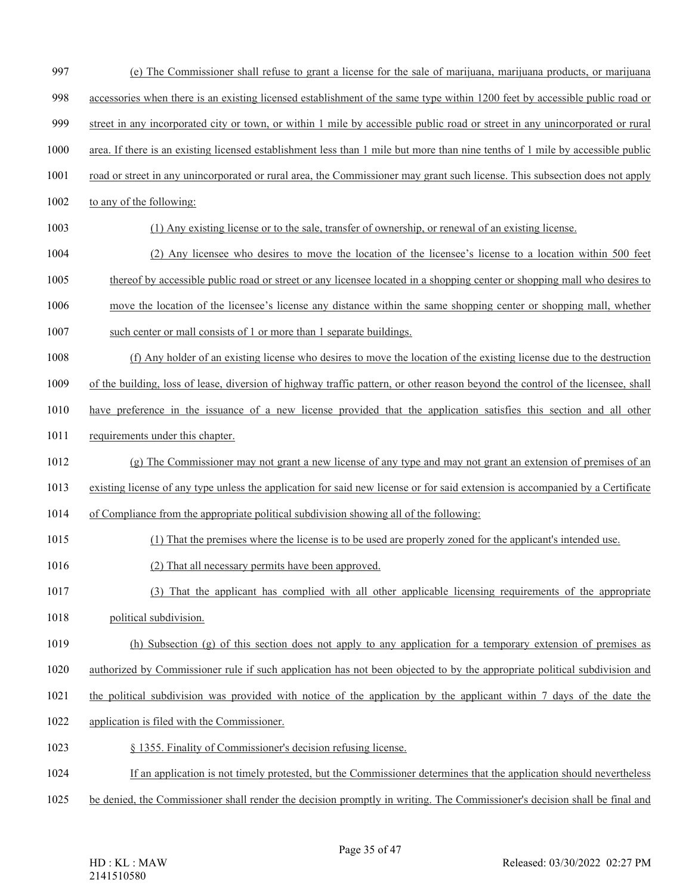- (e) The Commissioner shall refuse to grant a license for the sale of marijuana, marijuana products, or marijuana
- accessories when there is an existing licensed establishment of the same type within 1200 feet by accessible public road or
- street in any incorporated city or town, or within 1 mile by accessible public road or street in any unincorporated or rural
- area. If there is an existing licensed establishment less than 1 mile but more than nine tenths of 1 mile by accessible public
- road or street in any unincorporated or rural area, the Commissioner may grant such license. This subsection does not apply
- to any of the following:
- (1) Any existing license or to the sale, transfer of ownership, or renewal of an existing license.
- (2) Any licensee who desires to move the location of the licensee's license to a location within 500 feet
- thereof by accessible public road or street or any licensee located in a shopping center or shopping mall who desires to
- move the location of the licensee's license any distance within the same shopping center or shopping mall, whether
- such center or mall consists of 1 or more than 1 separate buildings.
- (f) Any holder of an existing license who desires to move the location of the existing license due to the destruction
- of the building, loss of lease, diversion of highway traffic pattern, or other reason beyond the control of the licensee, shall
- have preference in the issuance of a new license provided that the application satisfies this section and all other
- requirements under this chapter.
- (g) The Commissioner may not grant a new license of any type and may not grant an extension of premises of an
- existing license of any type unless the application for said new license or for said extension is accompanied by a Certificate
- of Compliance from the appropriate political subdivision showing all of the following:
- (1) That the premises where the license is to be used are properly zoned for the applicant's intended use.
- (2) That all necessary permits have been approved.
- (3) That the applicant has complied with all other applicable licensing requirements of the appropriate
- political subdivision.
- (h) Subsection (g) of this section does not apply to any application for a temporary extension of premises as
- authorized by Commissioner rule if such application has not been objected to by the appropriate political subdivision and
- the political subdivision was provided with notice of the application by the applicant within 7 days of the date the
- application is filed with the Commissioner.
- § 1355. Finality of Commissioner's decision refusing license.
- If an application is not timely protested, but the Commissioner determines that the application should nevertheless
- be denied, the Commissioner shall render the decision promptly in writing. The Commissioner's decision shall be final and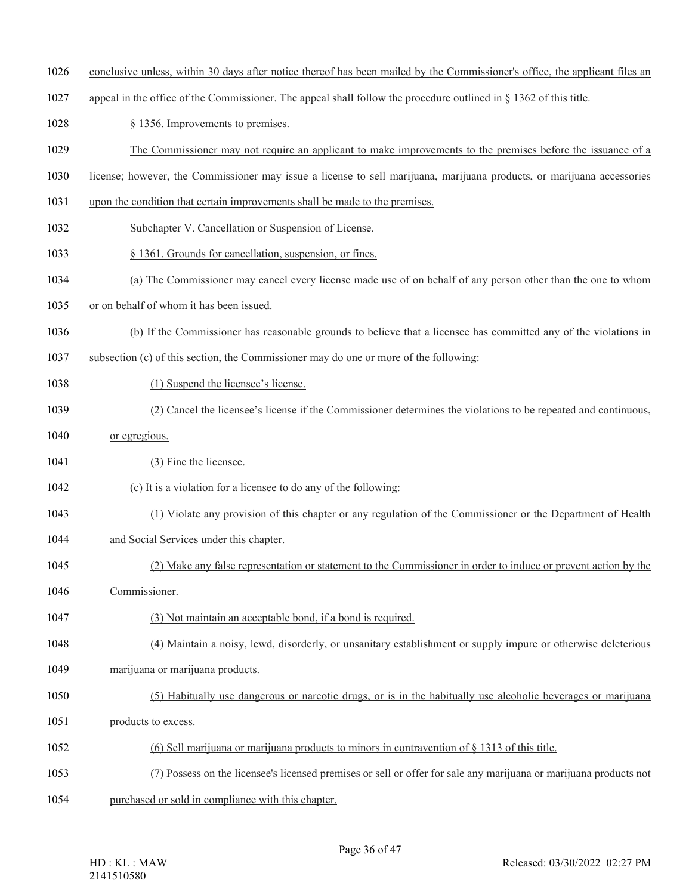- conclusive unless, within 30 days after notice thereof has been mailed by the Commissioner's office, the applicant files an
- appeal in the office of the Commissioner. The appeal shall follow the procedure outlined in § 1362 of this title.
- 1028 § 1356. Improvements to premises.
- The Commissioner may not require an applicant to make improvements to the premises before the issuance of a
- license; however, the Commissioner may issue a license to sell marijuana, marijuana products, or marijuana accessories
- upon the condition that certain improvements shall be made to the premises.
- Subchapter V. Cancellation or Suspension of License.
- § 1361. Grounds for cancellation, suspension, or fines.
- (a) The Commissioner may cancel every license made use of on behalf of any person other than the one to whom
- or on behalf of whom it has been issued.
- (b) If the Commissioner has reasonable grounds to believe that a licensee has committed any of the violations in
- subsection (c) of this section, the Commissioner may do one or more of the following:
- 1038 (1) Suspend the licensee's license.
- (2) Cancel the licensee's license if the Commissioner determines the violations to be repeated and continuous,
- or egregious.
- 1041 (3) Fine the licensee.
- (c) It is a violation for a licensee to do any of the following:
- (1) Violate any provision of this chapter or any regulation of the Commissioner or the Department of Health
- and Social Services under this chapter.
- (2) Make any false representation or statement to the Commissioner in order to induce or prevent action by the
- Commissioner.
- (3) Not maintain an acceptable bond, if a bond is required.
- (4) Maintain a noisy, lewd, disorderly, or unsanitary establishment or supply impure or otherwise deleterious
- 1049 marijuana or marijuana products.
- (5) Habitually use dangerous or narcotic drugs, or is in the habitually use alcoholic beverages or marijuana
- 1051 products to excess.
- (6) Sell marijuana or marijuana products to minors in contravention of § 1313 of this title.
- (7) Possess on the licensee's licensed premises or sell or offer for sale any marijuana or marijuana products not
- purchased or sold in compliance with this chapter.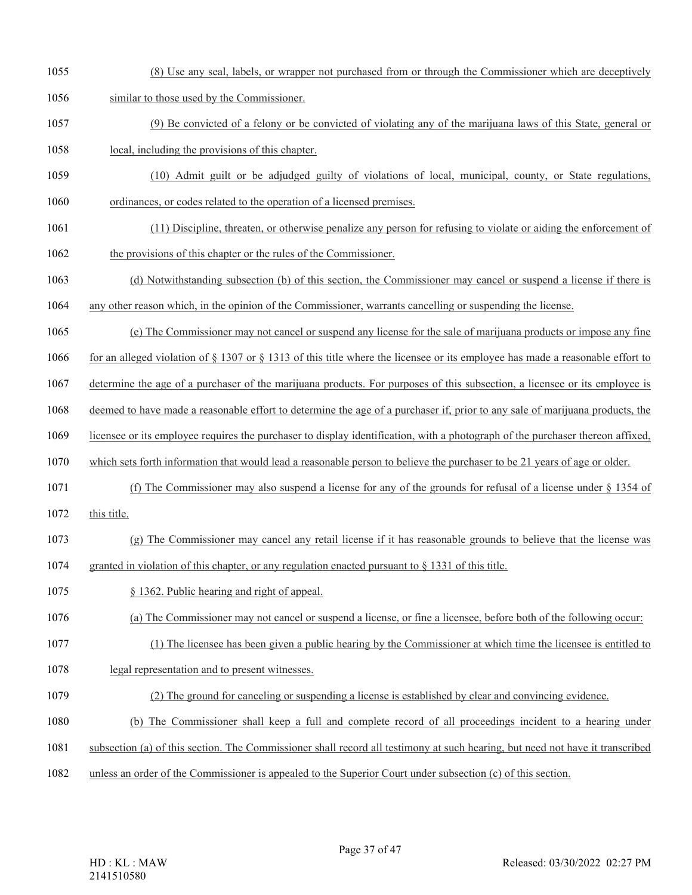- (8) Use any seal, labels, or wrapper not purchased from or through the Commissioner which are deceptively
- similar to those used by the Commissioner.
- (9) Be convicted of a felony or be convicted of violating any of the marijuana laws of this State, general or
- local, including the provisions of this chapter.
- (10) Admit guilt or be adjudged guilty of violations of local, municipal, county, or State regulations, ordinances, or codes related to the operation of a licensed premises.
- (11) Discipline, threaten, or otherwise penalize any person for refusing to violate or aiding the enforcement of the provisions of this chapter or the rules of the Commissioner.
- (d) Notwithstanding subsection (b) of this section, the Commissioner may cancel or suspend a license if there is
- any other reason which, in the opinion of the Commissioner, warrants cancelling or suspending the license.
- (e) The Commissioner may not cancel or suspend any license for the sale of marijuana products or impose any fine
- for an alleged violation of § 1307 or § 1313 of this title where the licensee or its employee has made a reasonable effort to
- determine the age of a purchaser of the marijuana products. For purposes of this subsection, a licensee or its employee is
- deemed to have made a reasonable effort to determine the age of a purchaser if, prior to any sale of marijuana products, the
- licensee or its employee requires the purchaser to display identification, with a photograph of the purchaser thereon affixed,
- which sets forth information that would lead a reasonable person to believe the purchaser to be 21 years of age or older.
- (f) The Commissioner may also suspend a license for any of the grounds for refusal of a license under § 1354 of
- this title.
- (g) The Commissioner may cancel any retail license if it has reasonable grounds to believe that the license was
- granted in violation of this chapter, or any regulation enacted pursuant to § 1331 of this title.
- § 1362. Public hearing and right of appeal.
- (a) The Commissioner may not cancel or suspend a license, or fine a licensee, before both of the following occur:
- (1) The licensee has been given a public hearing by the Commissioner at which time the licensee is entitled to
- legal representation and to present witnesses.
- (2) The ground for canceling or suspending a license is established by clear and convincing evidence.
- (b) The Commissioner shall keep a full and complete record of all proceedings incident to a hearing under
- subsection (a) of this section. The Commissioner shall record all testimony at such hearing, but need not have it transcribed
- unless an order of the Commissioner is appealed to the Superior Court under subsection (c) of this section.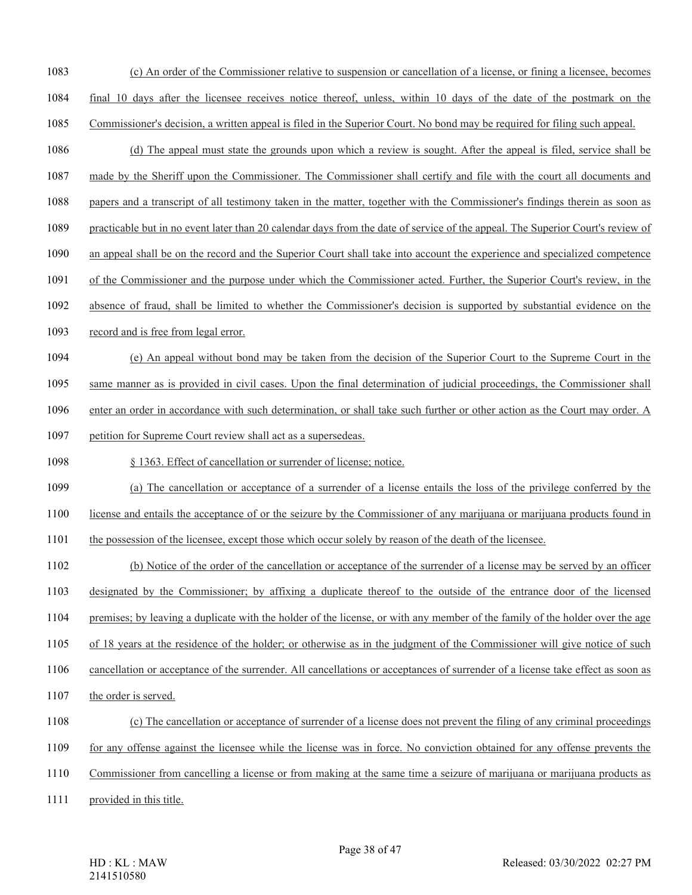- (c) An order of the Commissioner relative to suspension or cancellation of a license, or fining a licensee, becomes final 10 days after the licensee receives notice thereof, unless, within 10 days of the date of the postmark on the
- Commissioner's decision, a written appeal is filed in the Superior Court. No bond may be required for filing such appeal.
- (d) The appeal must state the grounds upon which a review is sought. After the appeal is filed, service shall be
- made by the Sheriff upon the Commissioner. The Commissioner shall certify and file with the court all documents and
- papers and a transcript of all testimony taken in the matter, together with the Commissioner's findings therein as soon as
- practicable but in no event later than 20 calendar days from the date of service of the appeal. The Superior Court's review of
- an appeal shall be on the record and the Superior Court shall take into account the experience and specialized competence
- of the Commissioner and the purpose under which the Commissioner acted. Further, the Superior Court's review, in the
- absence of fraud, shall be limited to whether the Commissioner's decision is supported by substantial evidence on the
- record and is free from legal error.
- (e) An appeal without bond may be taken from the decision of the Superior Court to the Supreme Court in the
- same manner as is provided in civil cases. Upon the final determination of judicial proceedings, the Commissioner shall
- enter an order in accordance with such determination, or shall take such further or other action as the Court may order. A
- petition for Supreme Court review shall act as a supersedeas.
- § 1363. Effect of cancellation or surrender of license; notice.
- (a) The cancellation or acceptance of a surrender of a license entails the loss of the privilege conferred by the
- license and entails the acceptance of or the seizure by the Commissioner of any marijuana or marijuana products found in
- the possession of the licensee, except those which occur solely by reason of the death of the licensee.
- (b) Notice of the order of the cancellation or acceptance of the surrender of a license may be served by an officer
- designated by the Commissioner; by affixing a duplicate thereof to the outside of the entrance door of the licensed
- premises; by leaving a duplicate with the holder of the license, or with any member of the family of the holder over the age
- of 18 years at the residence of the holder; or otherwise as in the judgment of the Commissioner will give notice of such
- cancellation or acceptance of the surrender. All cancellations or acceptances of surrender of a license take effect as soon as
- 1107 the order is served.
- (c) The cancellation or acceptance of surrender of a license does not prevent the filing of any criminal proceedings
- for any offense against the licensee while the license was in force. No conviction obtained for any offense prevents the
- Commissioner from cancelling a license or from making at the same time a seizure of marijuana or marijuana products as
- provided in this title.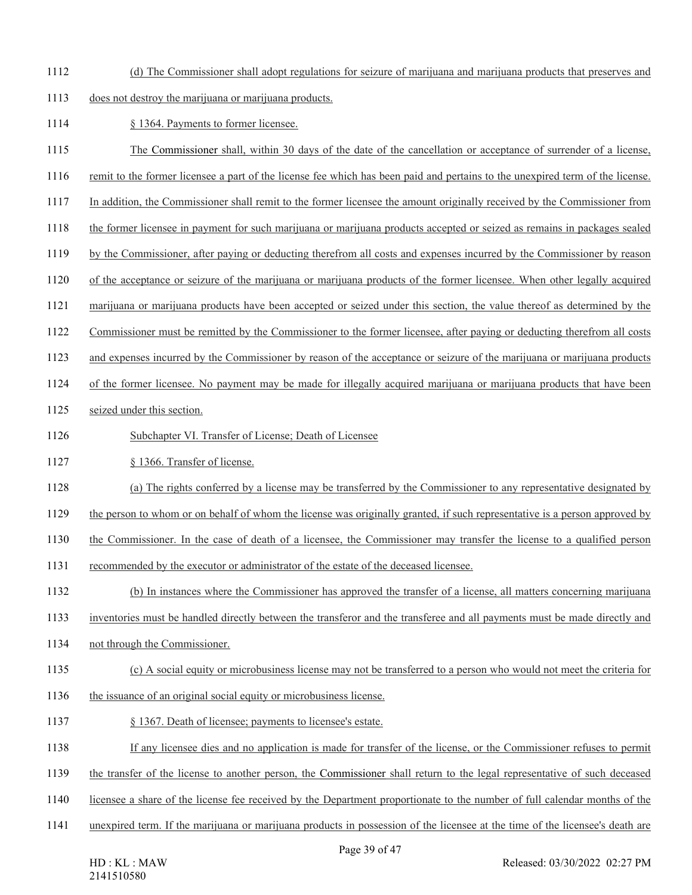- (d) The Commissioner shall adopt regulations for seizure of marijuana and marijuana products that preserves and
- does not destroy the marijuana or marijuana products.
- 1114 § 1364. Payments to former licensee.
- The Commissioner shall, within 30 days of the date of the cancellation or acceptance of surrender of a license,
- remit to the former licensee a part of the license fee which has been paid and pertains to the unexpired term of the license.
- In addition, the Commissioner shall remit to the former licensee the amount originally received by the Commissioner from
- the former licensee in payment for such marijuana or marijuana products accepted or seized as remains in packages sealed
- by the Commissioner, after paying or deducting therefrom all costs and expenses incurred by the Commissioner by reason
- of the acceptance or seizure of the marijuana or marijuana products of the former licensee. When other legally acquired
- marijuana or marijuana products have been accepted or seized under this section, the value thereof as determined by the
- Commissioner must be remitted by the Commissioner to the former licensee, after paying or deducting therefrom all costs
- and expenses incurred by the Commissioner by reason of the acceptance or seizure of the marijuana or marijuana products
- of the former licensee. No payment may be made for illegally acquired marijuana or marijuana products that have been
- seized under this section.
- 1126 Subchapter VI. Transfer of License; Death of Licensee
- 1127 § 1366. Transfer of license.
- (a) The rights conferred by a license may be transferred by the Commissioner to any representative designated by
- the person to whom or on behalf of whom the license was originally granted, if such representative is a person approved by
- the Commissioner. In the case of death of a licensee, the Commissioner may transfer the license to a qualified person
- recommended by the executor or administrator of the estate of the deceased licensee.
- (b) In instances where the Commissioner has approved the transfer of a license, all matters concerning marijuana
- inventories must be handled directly between the transferor and the transferee and all payments must be made directly and
- not through the Commissioner.
- (c) A social equity or microbusiness license may not be transferred to a person who would not meet the criteria for
- 1136 the issuance of an original social equity or microbusiness license.
- § 1367. Death of licensee; payments to licensee's estate.
- If any licensee dies and no application is made for transfer of the license, or the Commissioner refuses to permit
- the transfer of the license to another person, the Commissioner shall return to the legal representative of such deceased
- licensee a share of the license fee received by the Department proportionate to the number of full calendar months of the
- unexpired term. If the marijuana or marijuana products in possession of the licensee at the time of the licensee's death are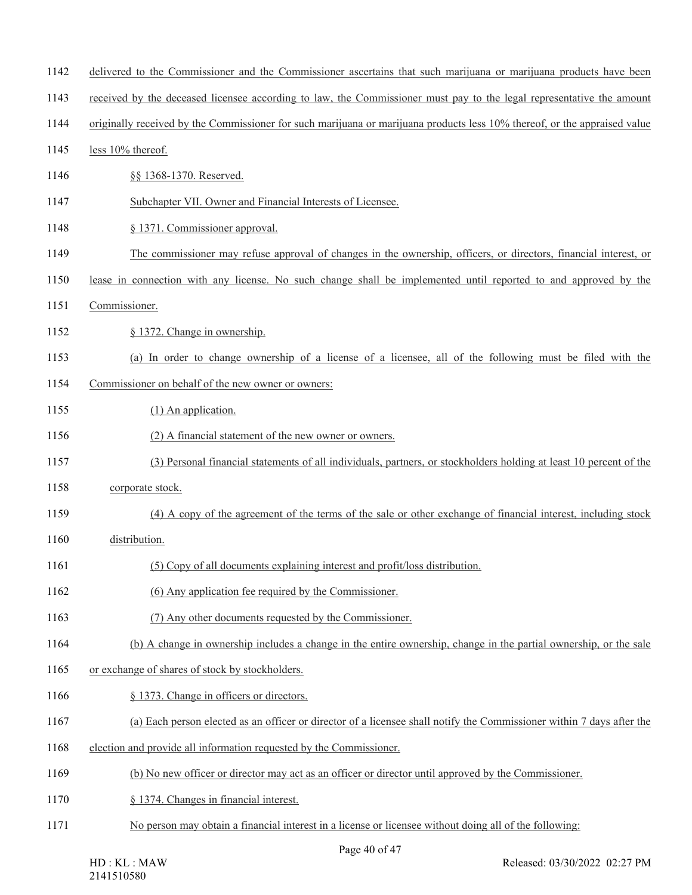| 1142 | delivered to the Commissioner and the Commissioner ascertains that such marijuana or marijuana products have been         |
|------|---------------------------------------------------------------------------------------------------------------------------|
| 1143 | received by the deceased licensee according to law, the Commissioner must pay to the legal representative the amount      |
| 1144 | originally received by the Commissioner for such marijuana or marijuana products less 10% thereof, or the appraised value |
| 1145 | less 10% thereof.                                                                                                         |
| 1146 | §§ 1368-1370. Reserved.                                                                                                   |
| 1147 | Subchapter VII. Owner and Financial Interests of Licensee.                                                                |
| 1148 | § 1371. Commissioner approval.                                                                                            |
| 1149 | The commissioner may refuse approval of changes in the ownership, officers, or directors, financial interest, or          |
| 1150 | lease in connection with any license. No such change shall be implemented until reported to and approved by the           |
| 1151 | Commissioner.                                                                                                             |
| 1152 | § 1372. Change in ownership.                                                                                              |
| 1153 | (a) In order to change ownership of a license of a licensee, all of the following must be filed with the                  |
| 1154 | Commissioner on behalf of the new owner or owners:                                                                        |
| 1155 | $(1)$ An application.                                                                                                     |
| 1156 | (2) A financial statement of the new owner or owners.                                                                     |
| 1157 | (3) Personal financial statements of all individuals, partners, or stockholders holding at least 10 percent of the        |
| 1158 | corporate stock.                                                                                                          |
| 1159 | (4) A copy of the agreement of the terms of the sale or other exchange of financial interest, including stock             |
| 1160 | distribution.                                                                                                             |
| 1161 | (5) Copy of all documents explaining interest and profit/loss distribution.                                               |
| 1162 | (6) Any application fee required by the Commissioner.                                                                     |
| 1163 | (7) Any other documents requested by the Commissioner.                                                                    |
| 1164 | (b) A change in ownership includes a change in the entire ownership, change in the partial ownership, or the sale         |
| 1165 | or exchange of shares of stock by stockholders.                                                                           |
| 1166 | § 1373. Change in officers or directors.                                                                                  |
| 1167 | (a) Each person elected as an officer or director of a licensee shall notify the Commissioner within 7 days after the     |
| 1168 | election and provide all information requested by the Commissioner.                                                       |
| 1169 | (b) No new officer or director may act as an officer or director until approved by the Commissioner.                      |
| 1170 | § 1374. Changes in financial interest.                                                                                    |
| 1171 | No person may obtain a financial interest in a license or licensee without doing all of the following:                    |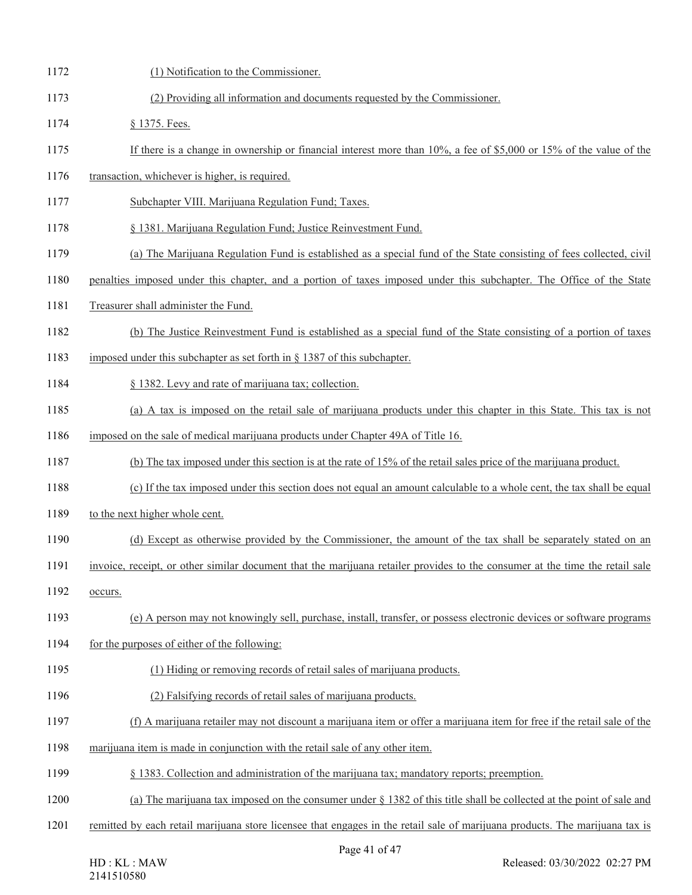| 1172 | (1) Notification to the Commissioner.                                                                                        |
|------|------------------------------------------------------------------------------------------------------------------------------|
| 1173 | (2) Providing all information and documents requested by the Commissioner.                                                   |
| 1174 | § 1375. Fees.                                                                                                                |
| 1175 | If there is a change in ownership or financial interest more than $10\%$ , a fee of \$5,000 or 15% of the value of the       |
| 1176 | transaction, whichever is higher, is required.                                                                               |
| 1177 | Subchapter VIII. Marijuana Regulation Fund; Taxes.                                                                           |
| 1178 | § 1381. Marijuana Regulation Fund; Justice Reinvestment Fund.                                                                |
| 1179 | (a) The Marijuana Regulation Fund is established as a special fund of the State consisting of fees collected, civil          |
| 1180 | penalties imposed under this chapter, and a portion of taxes imposed under this subchapter. The Office of the State          |
| 1181 | Treasurer shall administer the Fund.                                                                                         |
| 1182 | (b) The Justice Reinvestment Fund is established as a special fund of the State consisting of a portion of taxes             |
| 1183 | imposed under this subchapter as set forth in $\S$ 1387 of this subchapter.                                                  |
| 1184 | § 1382. Levy and rate of marijuana tax; collection.                                                                          |
| 1185 | (a) A tax is imposed on the retail sale of marijuana products under this chapter in this State. This tax is not              |
| 1186 | imposed on the sale of medical marijuana products under Chapter 49A of Title 16.                                             |
| 1187 | (b) The tax imposed under this section is at the rate of 15% of the retail sales price of the marijuana product.             |
| 1188 | (c) If the tax imposed under this section does not equal an amount calculable to a whole cent, the tax shall be equal        |
| 1189 | to the next higher whole cent.                                                                                               |
| 1190 | (d) Except as otherwise provided by the Commissioner, the amount of the tax shall be separately stated on an                 |
| 1191 | invoice, receipt, or other similar document that the marijuana retailer provides to the consumer at the time the retail sale |
| 1192 | occurs.                                                                                                                      |
| 1193 | (e) A person may not knowingly sell, purchase, install, transfer, or possess electronic devices or software programs         |
| 1194 | for the purposes of either of the following:                                                                                 |
| 1195 | (1) Hiding or removing records of retail sales of marijuana products.                                                        |
| 1196 | (2) Falsifying records of retail sales of marijuana products.                                                                |
| 1197 | (f) A marijuana retailer may not discount a marijuana item or offer a marijuana item for free if the retail sale of the      |
| 1198 | marijuana item is made in conjunction with the retail sale of any other item.                                                |
| 1199 | § 1383. Collection and administration of the marijuana tax; mandatory reports; preemption.                                   |
| 1200 | (a) The marijuana tax imposed on the consumer under $\S$ 1382 of this title shall be collected at the point of sale and      |
| 1201 | remitted by each retail marijuana store licensee that engages in the retail sale of marijuana products. The marijuana tax is |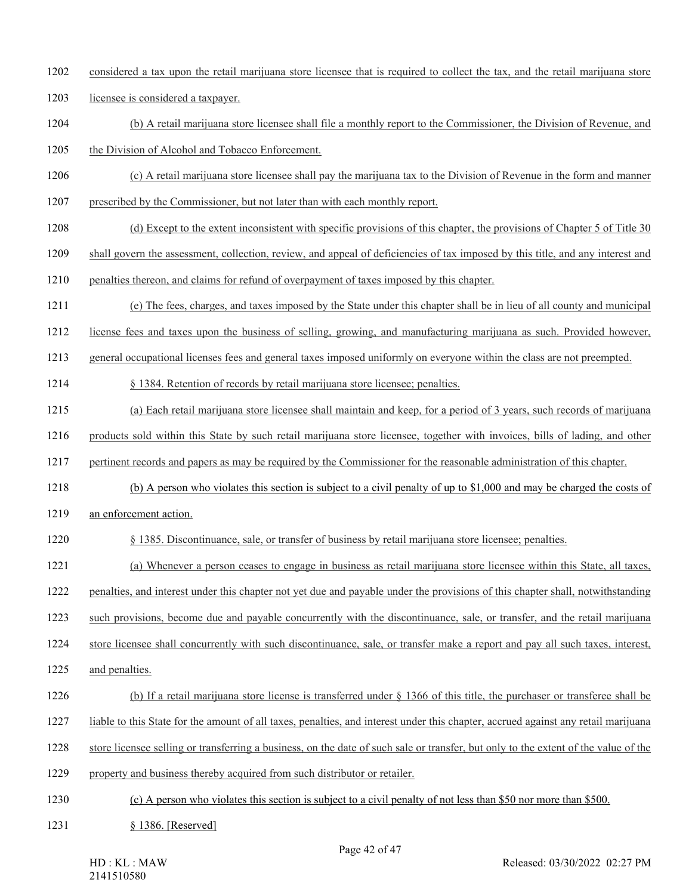- considered a tax upon the retail marijuana store licensee that is required to collect the tax, and the retail marijuana store
- licensee is considered a taxpayer.
- (b) A retail marijuana store licensee shall file a monthly report to the Commissioner, the Division of Revenue, and
- the Division of Alcohol and Tobacco Enforcement.
- (c) A retail marijuana store licensee shall pay the marijuana tax to the Division of Revenue in the form and manner
- prescribed by the Commissioner, but not later than with each monthly report.
- (d) Except to the extent inconsistent with specific provisions of this chapter, the provisions of Chapter 5 of Title 30
- shall govern the assessment, collection, review, and appeal of deficiencies of tax imposed by this title, and any interest and
- penalties thereon, and claims for refund of overpayment of taxes imposed by this chapter.
- (e) The fees, charges, and taxes imposed by the State under this chapter shall be in lieu of all county and municipal
- license fees and taxes upon the business of selling, growing, and manufacturing marijuana as such. Provided however,
- general occupational licenses fees and general taxes imposed uniformly on everyone within the class are not preempted.
- § 1384. Retention of records by retail marijuana store licensee; penalties.
- (a) Each retail marijuana store licensee shall maintain and keep, for a period of 3 years, such records of marijuana
- products sold within this State by such retail marijuana store licensee, together with invoices, bills of lading, and other
- pertinent records and papers as may be required by the Commissioner for the reasonable administration of this chapter.
- 1218 (b) A person who violates this section is subject to a civil penalty of up to \$1,000 and may be charged the costs of
- 1219 an enforcement action.
- § 1385. Discontinuance, sale, or transfer of business by retail marijuana store licensee; penalties.
- (a) Whenever a person ceases to engage in business as retail marijuana store licensee within this State, all taxes,
- penalties, and interest under this chapter not yet due and payable under the provisions of this chapter shall, notwithstanding
- such provisions, become due and payable concurrently with the discontinuance, sale, or transfer, and the retail marijuana
- store licensee shall concurrently with such discontinuance, sale, or transfer make a report and pay all such taxes, interest,
- and penalties.
- (b) If a retail marijuana store license is transferred under § 1366 of this title, the purchaser or transferee shall be
- liable to this State for the amount of all taxes, penalties, and interest under this chapter, accrued against any retail marijuana
- store licensee selling or transferring a business, on the date of such sale or transfer, but only to the extent of the value of the
- property and business thereby acquired from such distributor or retailer.
- 1230 (c) A person who violates this section is subject to a civil penalty of not less than \$50 nor more than \$500.
- 1231 § 1386. [Reserved]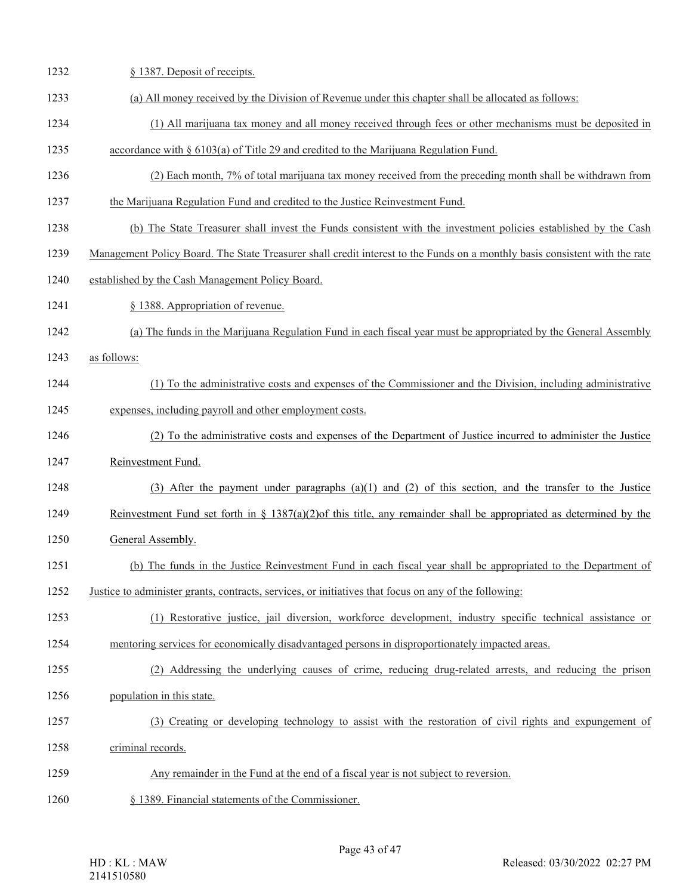| 1232 | § 1387. Deposit of receipts.                                                                                                |
|------|-----------------------------------------------------------------------------------------------------------------------------|
| 1233 | (a) All money received by the Division of Revenue under this chapter shall be allocated as follows:                         |
| 1234 | (1) All marijuana tax money and all money received through fees or other mechanisms must be deposited in                    |
| 1235 | accordance with $\S 6103(a)$ of Title 29 and credited to the Marijuana Regulation Fund.                                     |
| 1236 | (2) Each month, 7% of total marijuana tax money received from the preceding month shall be withdrawn from                   |
| 1237 | the Marijuana Regulation Fund and credited to the Justice Reinvestment Fund.                                                |
| 1238 | (b) The State Treasurer shall invest the Funds consistent with the investment policies established by the Cash              |
| 1239 | Management Policy Board. The State Treasurer shall credit interest to the Funds on a monthly basis consistent with the rate |
| 1240 | established by the Cash Management Policy Board.                                                                            |
| 1241 | § 1388. Appropriation of revenue.                                                                                           |
| 1242 | (a) The funds in the Marijuana Regulation Fund in each fiscal year must be appropriated by the General Assembly             |
| 1243 | as follows:                                                                                                                 |
| 1244 | (1) To the administrative costs and expenses of the Commissioner and the Division, including administrative                 |
| 1245 | expenses, including payroll and other employment costs.                                                                     |
| 1246 | (2) To the administrative costs and expenses of the Department of Justice incurred to administer the Justice                |
| 1247 | Reinvestment Fund.                                                                                                          |
| 1248 | (3) After the payment under paragraphs (a)(1) and (2) of this section, and the transfer to the Justice                      |
| 1249 | Reinvestment Fund set forth in § 1387(a)(2)of this title, any remainder shall be appropriated as determined by the          |
| 1250 | General Assembly.                                                                                                           |
| 1251 | (b) The funds in the Justice Reinvestment Fund in each fiscal year shall be appropriated to the Department of               |
| 1252 | Justice to administer grants, contracts, services, or initiatives that focus on any of the following:                       |
| 1253 | (1) Restorative justice, jail diversion, workforce development, industry specific technical assistance or                   |
| 1254 | mentoring services for economically disadvantaged persons in disproportionately impacted areas.                             |
| 1255 | (2) Addressing the underlying causes of crime, reducing drug-related arrests, and reducing the prison                       |
| 1256 | population in this state.                                                                                                   |
| 1257 | (3) Creating or developing technology to assist with the restoration of civil rights and expungement of                     |
| 1258 | criminal records.                                                                                                           |
| 1259 | Any remainder in the Fund at the end of a fiscal year is not subject to reversion.                                          |
| 1260 | § 1389. Financial statements of the Commissioner.                                                                           |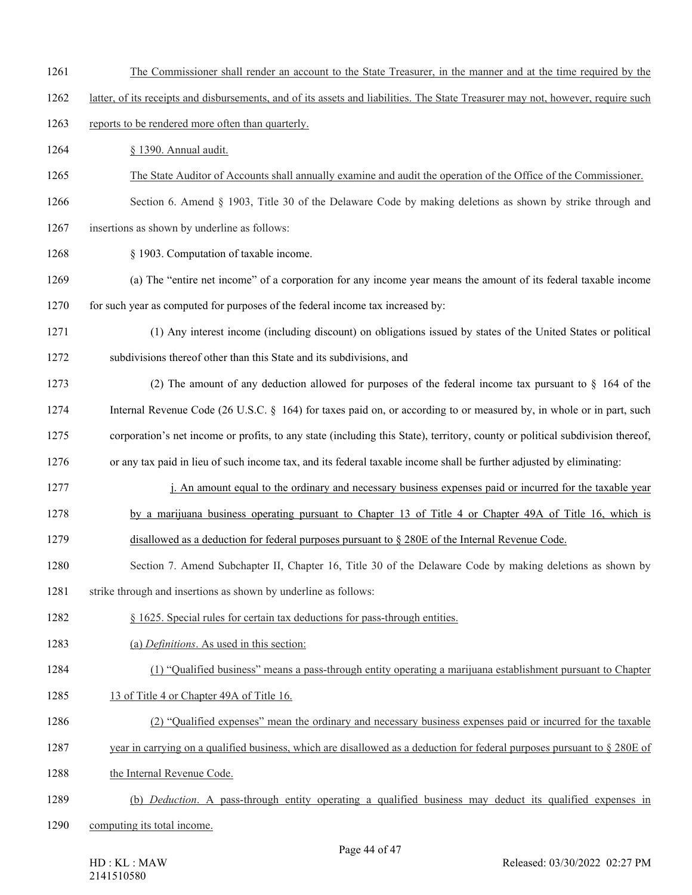- 1261 The Commissioner shall render an account to the State Treasurer, in the manner and at the time required by the
- 1262 latter, of its receipts and disbursements, and of its assets and liabilities. The State Treasurer may not, however, require such

# 1263 reports to be rendered more often than quarterly.

- 1264 § 1390. Annual audit.
- 1265 The State Auditor of Accounts shall annually examine and audit the operation of the Office of the Commissioner.

# 1266 Section 6. Amend § 1903, Title 30 of the Delaware Code by making deletions as shown by strike through and

- 1267 insertions as shown by underline as follows:
- 1268 § 1903. Computation of taxable income.
- 1269 (a) The "entire net income" of a corporation for any income year means the amount of its federal taxable income 1270 for such year as computed for purposes of the federal income tax increased by:
- 1271 (1) Any interest income (including discount) on obligations issued by states of the United States or political 1272 subdivisions thereof other than this State and its subdivisions, and
- 1273 (2) The amount of any deduction allowed for purposes of the federal income tax pursuant to § 164 of the 1274 Internal Revenue Code (26 U.S.C. § 164) for taxes paid on, or according to or measured by, in whole or in part, such 1275 corporation's net income or profits, to any state (including this State), territory, county or political subdivision thereof,
- 1276 or any tax paid in lieu of such income tax, and its federal taxable income shall be further adjusted by eliminating:
- 1277 i. An amount equal to the ordinary and necessary business expenses paid or incurred for the taxable year
- 1278 by a marijuana business operating pursuant to Chapter 13 of Title 4 or Chapter 49A of Title 16, which is
- 1279 disallowed as a deduction for federal purposes pursuant to § 280E of the Internal Revenue Code.
- 1280 Section 7. Amend Subchapter II, Chapter 16, Title 30 of the Delaware Code by making deletions as shown by
- 1281 strike through and insertions as shown by underline as follows:
- 1282 § 1625. Special rules for certain tax deductions for pass-through entities.
- 1283 (a) *Definitions*. As used in this section:
- 1284 (1) "Qualified business" means a pass-through entity operating a marijuana establishment pursuant to Chapter
- 1285 13 of Title 4 or Chapter 49A of Title 16.
- 1286 (2) "Qualified expenses" mean the ordinary and necessary business expenses paid or incurred for the taxable
- 1287 year in carrying on a qualified business, which are disallowed as a deduction for federal purposes pursuant to § 280E of
- 1288 the Internal Revenue Code.
- 1289 (b) *Deduction*. A pass-through entity operating a qualified business may deduct its qualified expenses in
- 1290 computing its total income.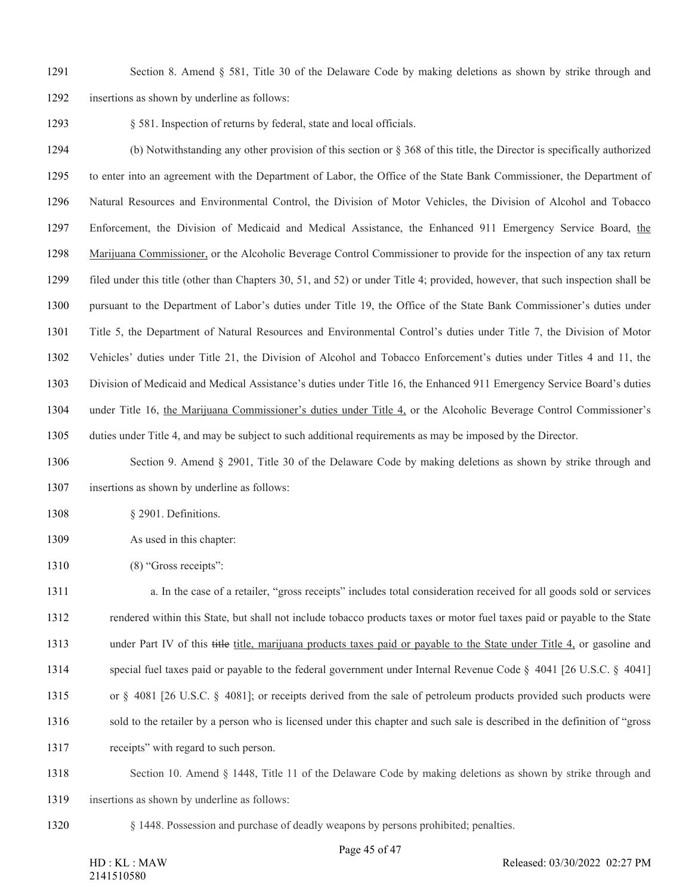- Section 8. Amend § 581, Title 30 of the Delaware Code by making deletions as shown by strike through and
- insertions as shown by underline as follows:

1293 § 581. Inspection of returns by federal, state and local officials.

 (b) Notwithstanding any other provision of this section or § 368 of this title, the Director is specifically authorized to enter into an agreement with the Department of Labor, the Office of the State Bank Commissioner, the Department of Natural Resources and Environmental Control, the Division of Motor Vehicles, the Division of Alcohol and Tobacco Enforcement, the Division of Medicaid and Medical Assistance, the Enhanced 911 Emergency Service Board, the Marijuana Commissioner, or the Alcoholic Beverage Control Commissioner to provide for the inspection of any tax return filed under this title (other than Chapters 30, 51, and 52) or under Title 4; provided, however, that such inspection shall be pursuant to the Department of Labor's duties under Title 19, the Office of the State Bank Commissioner's duties under Title 5, the Department of Natural Resources and Environmental Control's duties under Title 7, the Division of Motor Vehicles' duties under Title 21, the Division of Alcohol and Tobacco Enforcement's duties under Titles 4 and 11, the Division of Medicaid and Medical Assistance's duties under Title 16, the Enhanced 911 Emergency Service Board's duties under Title 16, the Marijuana Commissioner's duties under Title 4, or the Alcoholic Beverage Control Commissioner's duties under Title 4, and may be subject to such additional requirements as may be imposed by the Director.

 Section 9. Amend § 2901, Title 30 of the Delaware Code by making deletions as shown by strike through and insertions as shown by underline as follows:

- 1308 § 2901. Definitions.
- 1309 As used in this chapter:
- 1310 (8) "Gross receipts":

 a. In the case of a retailer, "gross receipts" includes total consideration received for all goods sold or services rendered within this State, but shall not include tobacco products taxes or motor fuel taxes paid or payable to the State under Part IV of this title title, marijuana products taxes paid or payable to the State under Title 4, or gasoline and special fuel taxes paid or payable to the federal government under Internal Revenue Code § 4041 [26 U.S.C. § 4041] or § 4081 [26 U.S.C. § 4081]; or receipts derived from the sale of petroleum products provided such products were sold to the retailer by a person who is licensed under this chapter and such sale is described in the definition of "gross receipts" with regard to such person.

 Section 10. Amend § 1448, Title 11 of the Delaware Code by making deletions as shown by strike through and insertions as shown by underline as follows:

§ 1448. Possession and purchase of deadly weapons by persons prohibited; penalties.

Released: 03/30/2022 02:27 PM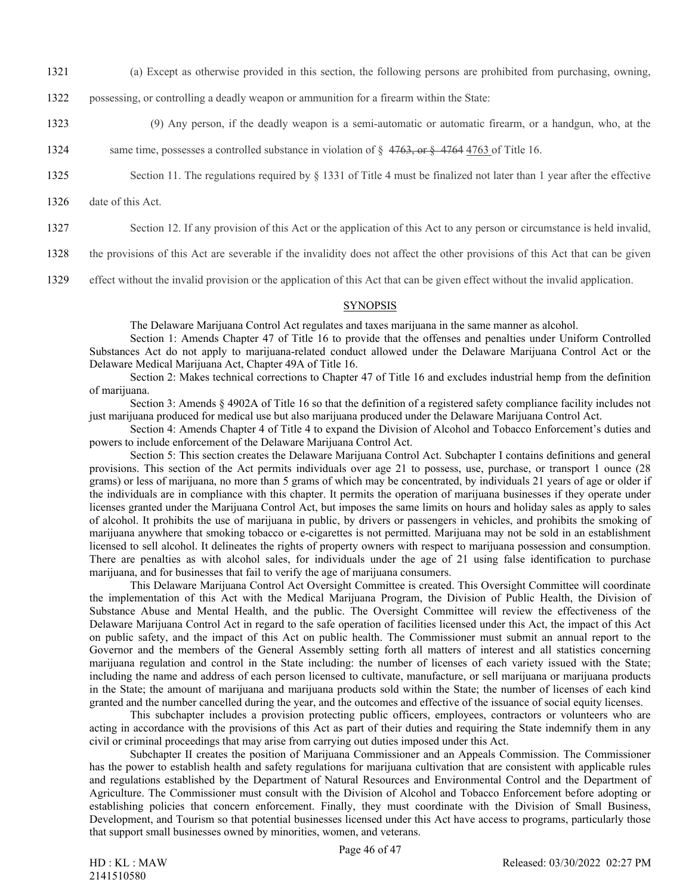- 1321 (a) Except as otherwise provided in this section, the following persons are prohibited from purchasing, owning,
- 1322 possessing, or controlling a deadly weapon or ammunition for a firearm within the State:
- 1323 (9) Any person, if the deadly weapon is a semi-automatic or automatic firearm, or a handgun, who, at the
- 1324 same time, possesses a controlled substance in violation of  $\S$  4763, or  $\S$  4764 4763 of Title 16.
- 1325 Section 11. The regulations required by § 1331 of Title 4 must be finalized not later than 1 year after the effective
- 1326 date of this Act.
- 1327 Section 12. If any provision of this Act or the application of this Act to any person or circumstance is held invalid,
- 1328 the provisions of this Act are severable if the invalidity does not affect the other provisions of this Act that can be given
- 1329 effect without the invalid provision or the application of this Act that can be given effect without the invalid application.

#### SYNOPSIS

The Delaware Marijuana Control Act regulates and taxes marijuana in the same manner as alcohol.

Section 1: Amends Chapter 47 of Title 16 to provide that the offenses and penalties under Uniform Controlled Substances Act do not apply to marijuana-related conduct allowed under the Delaware Marijuana Control Act or the Delaware Medical Marijuana Act, Chapter 49A of Title 16.

Section 2: Makes technical corrections to Chapter 47 of Title 16 and excludes industrial hemp from the definition of marijuana.

Section 3: Amends § 4902A of Title 16 so that the definition of a registered safety compliance facility includes not just marijuana produced for medical use but also marijuana produced under the Delaware Marijuana Control Act.

Section 4: Amends Chapter 4 of Title 4 to expand the Division of Alcohol and Tobacco Enforcement's duties and powers to include enforcement of the Delaware Marijuana Control Act.

Section 5: This section creates the Delaware Marijuana Control Act. Subchapter I contains definitions and general provisions. This section of the Act permits individuals over age 21 to possess, use, purchase, or transport 1 ounce (28 grams) or less of marijuana, no more than 5 grams of which may be concentrated, by individuals 21 years of age or older if the individuals are in compliance with this chapter. It permits the operation of marijuana businesses if they operate under licenses granted under the Marijuana Control Act, but imposes the same limits on hours and holiday sales as apply to sales of alcohol. It prohibits the use of marijuana in public, by drivers or passengers in vehicles, and prohibits the smoking of marijuana anywhere that smoking tobacco or e-cigarettes is not permitted. Marijuana may not be sold in an establishment licensed to sell alcohol. It delineates the rights of property owners with respect to marijuana possession and consumption. There are penalties as with alcohol sales, for individuals under the age of 21 using false identification to purchase marijuana, and for businesses that fail to verify the age of marijuana consumers.

This Delaware Marijuana Control Act Oversight Committee is created. This Oversight Committee will coordinate the implementation of this Act with the Medical Marijuana Program, the Division of Public Health, the Division of Substance Abuse and Mental Health, and the public. The Oversight Committee will review the effectiveness of the Delaware Marijuana Control Act in regard to the safe operation of facilities licensed under this Act, the impact of this Act on public safety, and the impact of this Act on public health. The Commissioner must submit an annual report to the Governor and the members of the General Assembly setting forth all matters of interest and all statistics concerning marijuana regulation and control in the State including: the number of licenses of each variety issued with the State; including the name and address of each person licensed to cultivate, manufacture, or sell marijuana or marijuana products in the State; the amount of marijuana and marijuana products sold within the State; the number of licenses of each kind granted and the number cancelled during the year, and the outcomes and effective of the issuance of social equity licenses.

This subchapter includes a provision protecting public officers, employees, contractors or volunteers who are acting in accordance with the provisions of this Act as part of their duties and requiring the State indemnify them in any civil or criminal proceedings that may arise from carrying out duties imposed under this Act.

Subchapter II creates the position of Marijuana Commissioner and an Appeals Commission. The Commissioner has the power to establish health and safety regulations for marijuana cultivation that are consistent with applicable rules and regulations established by the Department of Natural Resources and Environmental Control and the Department of Agriculture. The Commissioner must consult with the Division of Alcohol and Tobacco Enforcement before adopting or establishing policies that concern enforcement. Finally, they must coordinate with the Division of Small Business, Development, and Tourism so that potential businesses licensed under this Act have access to programs, particularly those that support small businesses owned by minorities, women, and veterans.